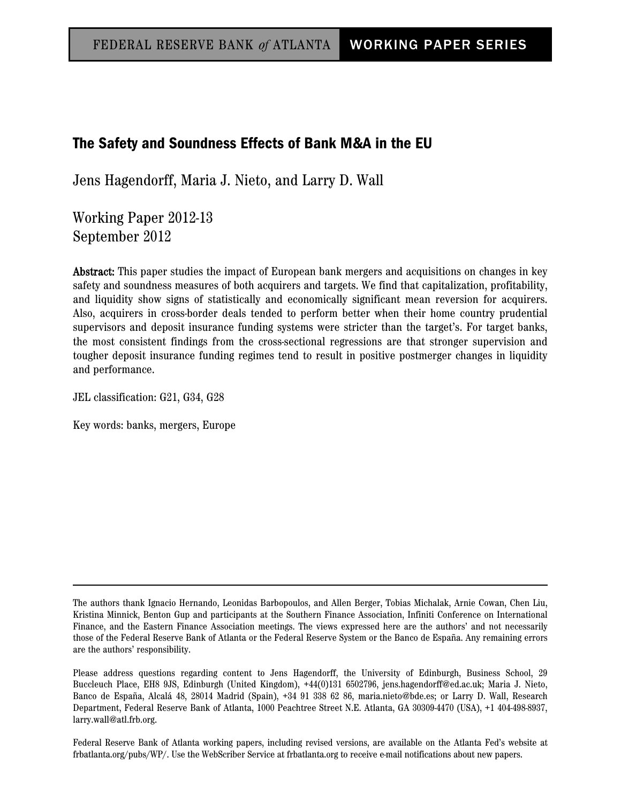# The Safety and Soundness Effects of Bank M&A in the EU

Jens Hagendorff, Maria J. Nieto, and Larry D. Wall

Working Paper 2012-13 September 2012

Abstract: This paper studies the impact of European bank mergers and acquisitions on changes in key safety and soundness measures of both acquirers and targets. We find that capitalization, profitability, and liquidity show signs of statistically and economically significant mean reversion for acquirers. Also, acquirers in cross-border deals tended to perform better when their home country prudential supervisors and deposit insurance funding systems were stricter than the target's. For target banks, the most consistent findings from the cross-sectional regressions are that stronger supervision and tougher deposit insurance funding regimes tend to result in positive postmerger changes in liquidity and performance.

JEL classification: G21, G34, G28

Key words: banks, mergers, Europe

Federal Reserve Bank of Atlanta working papers, including revised versions, are available on the Atlanta Fed's website at frbatlanta.org/pubs/WP/. Use the WebScriber Service at frbatlanta.org to receive e-mail notifications about new papers.

The authors thank Ignacio Hernando, Leonidas Barbopoulos, and Allen Berger, Tobias Michalak, Arnie Cowan, Chen Liu, Kristina Minnick, Benton Gup and participants at the Southern Finance Association, Infiniti Conference on International Finance, and the Eastern Finance Association meetings. The views expressed here are the authors' and not necessarily those of the Federal Reserve Bank of Atlanta or the Federal Reserve System or the Banco de España. Any remaining errors are the authors' responsibility.

Please address questions regarding content to Jens Hagendorff, the University of Edinburgh, Business School, 29 Buccleuch Place, EH8 9JS, Edinburgh (United Kingdom), +44(0)131 6502796, jens.hagendorff@ed.ac.uk; Maria J. Nieto, Banco de España, Alcalá 48, 28014 Madrid (Spain), +34 91 338 62 86, maria.nieto@bde.es; or Larry D. Wall, Research Department, Federal Reserve Bank of Atlanta, 1000 Peachtree Street N.E. Atlanta, GA 30309-4470 (USA), +1 404-498-8937, larry.wall@atl.frb.org.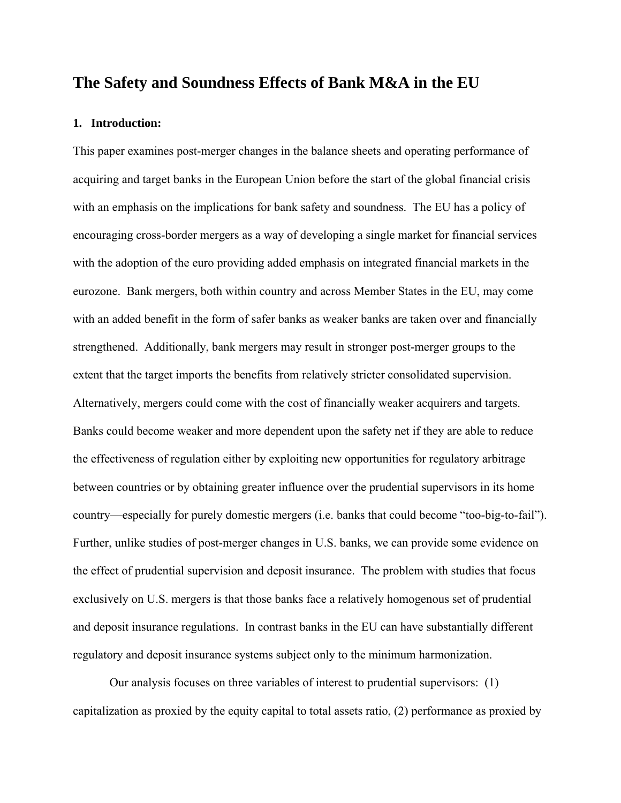# **The Safety and Soundness Effects of Bank M&A in the EU**

## **1. Introduction:**

This paper examines post-merger changes in the balance sheets and operating performance of acquiring and target banks in the European Union before the start of the global financial crisis with an emphasis on the implications for bank safety and soundness. The EU has a policy of encouraging cross-border mergers as a way of developing a single market for financial services with the adoption of the euro providing added emphasis on integrated financial markets in the eurozone. Bank mergers, both within country and across Member States in the EU, may come with an added benefit in the form of safer banks as weaker banks are taken over and financially strengthened. Additionally, bank mergers may result in stronger post-merger groups to the extent that the target imports the benefits from relatively stricter consolidated supervision. Alternatively, mergers could come with the cost of financially weaker acquirers and targets. Banks could become weaker and more dependent upon the safety net if they are able to reduce the effectiveness of regulation either by exploiting new opportunities for regulatory arbitrage between countries or by obtaining greater influence over the prudential supervisors in its home country—especially for purely domestic mergers (i.e. banks that could become "too-big-to-fail"). Further, unlike studies of post-merger changes in U.S. banks, we can provide some evidence on the effect of prudential supervision and deposit insurance. The problem with studies that focus exclusively on U.S. mergers is that those banks face a relatively homogenous set of prudential and deposit insurance regulations. In contrast banks in the EU can have substantially different regulatory and deposit insurance systems subject only to the minimum harmonization.

 Our analysis focuses on three variables of interest to prudential supervisors: (1) capitalization as proxied by the equity capital to total assets ratio, (2) performance as proxied by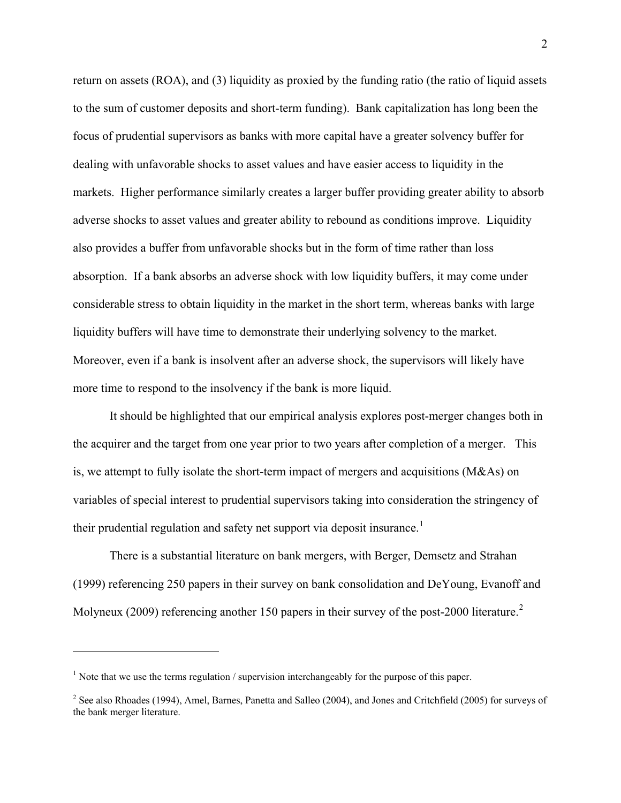return on assets (ROA), and (3) liquidity as proxied by the funding ratio (the ratio of liquid assets to the sum of customer deposits and short-term funding). Bank capitalization has long been the focus of prudential supervisors as banks with more capital have a greater solvency buffer for dealing with unfavorable shocks to asset values and have easier access to liquidity in the markets. Higher performance similarly creates a larger buffer providing greater ability to absorb adverse shocks to asset values and greater ability to rebound as conditions improve. Liquidity also provides a buffer from unfavorable shocks but in the form of time rather than loss absorption. If a bank absorbs an adverse shock with low liquidity buffers, it may come under considerable stress to obtain liquidity in the market in the short term, whereas banks with large liquidity buffers will have time to demonstrate their underlying solvency to the market. Moreover, even if a bank is insolvent after an adverse shock, the supervisors will likely have more time to respond to the insolvency if the bank is more liquid.

 It should be highlighted that our empirical analysis explores post-merger changes both in the acquirer and the target from one year prior to two years after completion of a merger. This is, we attempt to fully isolate the short-term impact of mergers and acquisitions (M&As) on variables of special interest to prudential supervisors taking into consideration the stringency of their prudential regulation and safety net support via deposit insurance.<sup>[1](#page-2-0)</sup>

 There is a substantial literature on bank mergers, with Berger, Demsetz and Strahan (1999) referencing 250 papers in their survey on bank consolidation and DeYoung, Evanoff and Molyneux ([2](#page-2-1)009) referencing another 150 papers in their survey of the post-2000 literature.<sup>2</sup>

 $\overline{a}$ 

<span id="page-2-0"></span> $<sup>1</sup>$  Note that we use the terms regulation / supervision interchangeably for the purpose of this paper.</sup>

<span id="page-2-1"></span> $2^2$  See also Rhoades (1994), Amel, Barnes, Panetta and Salleo (2004), and Jones and Critchfield (2005) for surveys of the bank merger literature.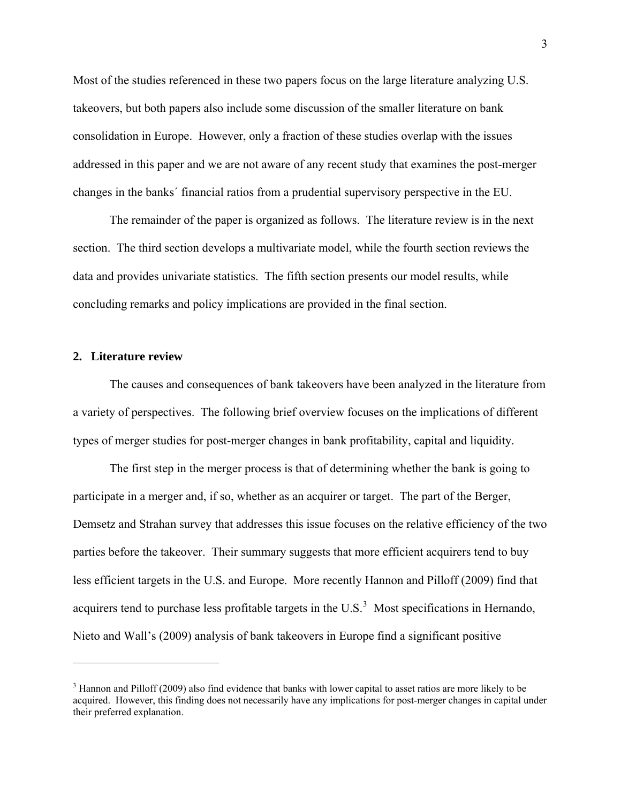Most of the studies referenced in these two papers focus on the large literature analyzing U.S. takeovers, but both papers also include some discussion of the smaller literature on bank consolidation in Europe. However, only a fraction of these studies overlap with the issues addressed in this paper and we are not aware of any recent study that examines the post-merger changes in the banks´ financial ratios from a prudential supervisory perspective in the EU.

 The remainder of the paper is organized as follows. The literature review is in the next section. The third section develops a multivariate model, while the fourth section reviews the data and provides univariate statistics. The fifth section presents our model results, while concluding remarks and policy implications are provided in the final section.

### **2. Literature review**

 $\overline{a}$ 

 The causes and consequences of bank takeovers have been analyzed in the literature from a variety of perspectives. The following brief overview focuses on the implications of different types of merger studies for post-merger changes in bank profitability, capital and liquidity.

 The first step in the merger process is that of determining whether the bank is going to participate in a merger and, if so, whether as an acquirer or target. The part of the Berger, Demsetz and Strahan survey that addresses this issue focuses on the relative efficiency of the two parties before the takeover. Their summary suggests that more efficient acquirers tend to buy less efficient targets in the U.S. and Europe. More recently Hannon and Pilloff (2009) find that acquirers tend to purchase less profitable targets in the U.S. $3$  Most specifications in Hernando, Nieto and Wall's (2009) analysis of bank takeovers in Europe find a significant positive

<span id="page-3-0"></span> $3$  Hannon and Pilloff (2009) also find evidence that banks with lower capital to asset ratios are more likely to be acquired. However, this finding does not necessarily have any implications for post-merger changes in capital under their preferred explanation.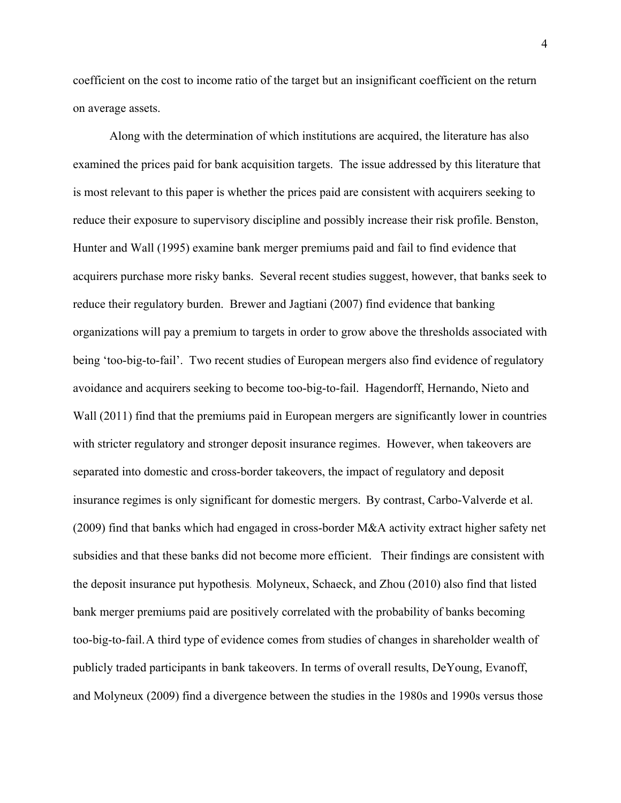coefficient on the cost to income ratio of the target but an insignificant coefficient on the return on average assets.

 Along with the determination of which institutions are acquired, the literature has also examined the prices paid for bank acquisition targets. The issue addressed by this literature that is most relevant to this paper is whether the prices paid are consistent with acquirers seeking to reduce their exposure to supervisory discipline and possibly increase their risk profile. Benston, Hunter and Wall (1995) examine bank merger premiums paid and fail to find evidence that acquirers purchase more risky banks. Several recent studies suggest, however, that banks seek to reduce their regulatory burden. Brewer and Jagtiani (2007) find evidence that banking organizations will pay a premium to targets in order to grow above the thresholds associated with being 'too-big-to-fail'. Two recent studies of European mergers also find evidence of regulatory avoidance and acquirers seeking to become too-big-to-fail. Hagendorff, Hernando, Nieto and Wall (2011) find that the premiums paid in European mergers are significantly lower in countries with stricter regulatory and stronger deposit insurance regimes. However, when takeovers are separated into domestic and cross-border takeovers, the impact of regulatory and deposit insurance regimes is only significant for domestic mergers. By contrast, Carbo-Valverde et al. (2009) find that banks which had engaged in cross-border M&A activity extract higher safety net subsidies and that these banks did not become more efficient. Their findings are consistent with the deposit insurance put hypothesis. Molyneux, Schaeck, and Zhou (2010) also find that listed bank merger premiums paid are positively correlated with the probability of banks becoming too-big-to-fail. A third type of evidence comes from studies of changes in shareholder wealth of publicly traded participants in bank takeovers. In terms of overall results, DeYoung, Evanoff, and Molyneux (2009) find a divergence between the studies in the 1980s and 1990s versus those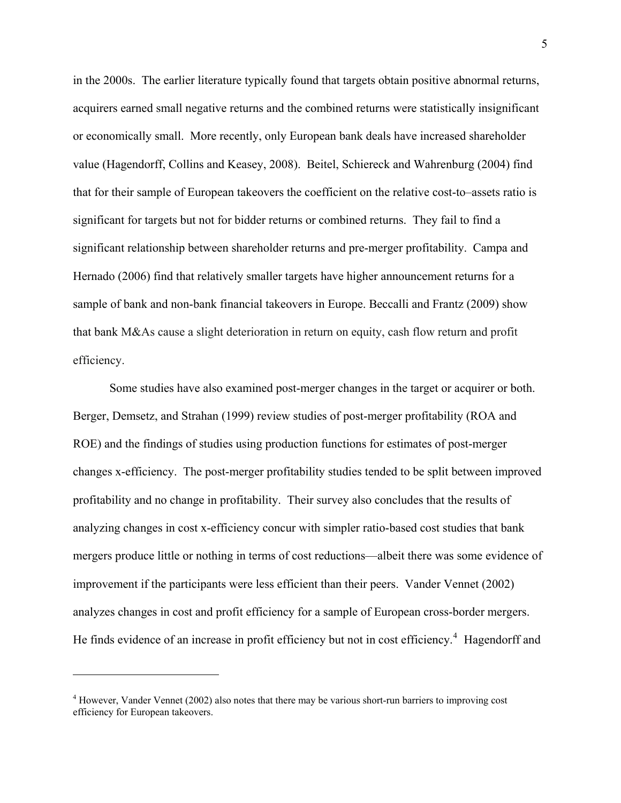in the 2000s. The earlier literature typically found that targets obtain positive abnormal returns, acquirers earned small negative returns and the combined returns were statistically insignificant or economically small. More recently, only European bank deals have increased shareholder value (Hagendorff, Collins and Keasey, 2008). Beitel, Schiereck and Wahrenburg (2004) find that for their sample of European takeovers the coefficient on the relative cost-to–assets ratio is significant for targets but not for bidder returns or combined returns. They fail to find a significant relationship between shareholder returns and pre-merger profitability. Campa and Hernado (2006) find that relatively smaller targets have higher announcement returns for a sample of bank and non-bank financial takeovers in Europe. Beccalli and Frantz (2009) show that bank M&As cause a slight deterioration in return on equity, cash flow return and profit efficiency.

 Some studies have also examined post-merger changes in the target or acquirer or both. Berger, Demsetz, and Strahan (1999) review studies of post-merger profitability (ROA and ROE) and the findings of studies using production functions for estimates of post-merger changes x-efficiency. The post-merger profitability studies tended to be split between improved profitability and no change in profitability. Their survey also concludes that the results of analyzing changes in cost x-efficiency concur with simpler ratio-based cost studies that bank mergers produce little or nothing in terms of cost reductions—albeit there was some evidence of improvement if the participants were less efficient than their peers. Vander Vennet (2002) analyzes changes in cost and profit efficiency for a sample of European cross-border mergers. He finds evidence of an increase in profit efficiency but not in cost efficiency.<sup>[4](#page-5-0)</sup> Hagendorff and

 $\overline{a}$ 

<span id="page-5-0"></span><sup>&</sup>lt;sup>4</sup> However, Vander Vennet (2002) also notes that there may be various short-run barriers to improving cost efficiency for European takeovers.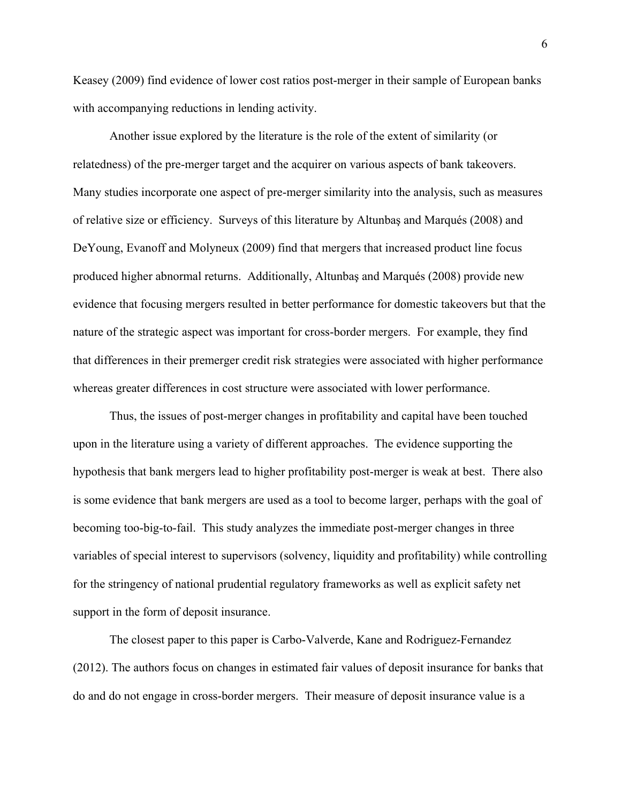Keasey (2009) find evidence of lower cost ratios post-merger in their sample of European banks with accompanying reductions in lending activity.

 Another issue explored by the literature is the role of the extent of similarity (or relatedness) of the pre-merger target and the acquirer on various aspects of bank takeovers. Many studies incorporate one aspect of pre-merger similarity into the analysis, such as measures of relative size or efficiency. Surveys of this literature by Altunbaş and Marqués (2008) and DeYoung, Evanoff and Molyneux (2009) find that mergers that increased product line focus produced higher abnormal returns. Additionally, Altunbaş and Marqués (2008) provide new evidence that focusing mergers resulted in better performance for domestic takeovers but that the nature of the strategic aspect was important for cross-border mergers. For example, they find that differences in their premerger credit risk strategies were associated with higher performance whereas greater differences in cost structure were associated with lower performance.

 Thus, the issues of post-merger changes in profitability and capital have been touched upon in the literature using a variety of different approaches. The evidence supporting the hypothesis that bank mergers lead to higher profitability post-merger is weak at best. There also is some evidence that bank mergers are used as a tool to become larger, perhaps with the goal of becoming too-big-to-fail. This study analyzes the immediate post-merger changes in three variables of special interest to supervisors (solvency, liquidity and profitability) while controlling for the stringency of national prudential regulatory frameworks as well as explicit safety net support in the form of deposit insurance.

The closest paper to this paper is Carbo-Valverde, Kane and Rodriguez-Fernandez (2012). The authors focus on changes in estimated fair values of deposit insurance for banks that do and do not engage in cross-border mergers. Their measure of deposit insurance value is a

6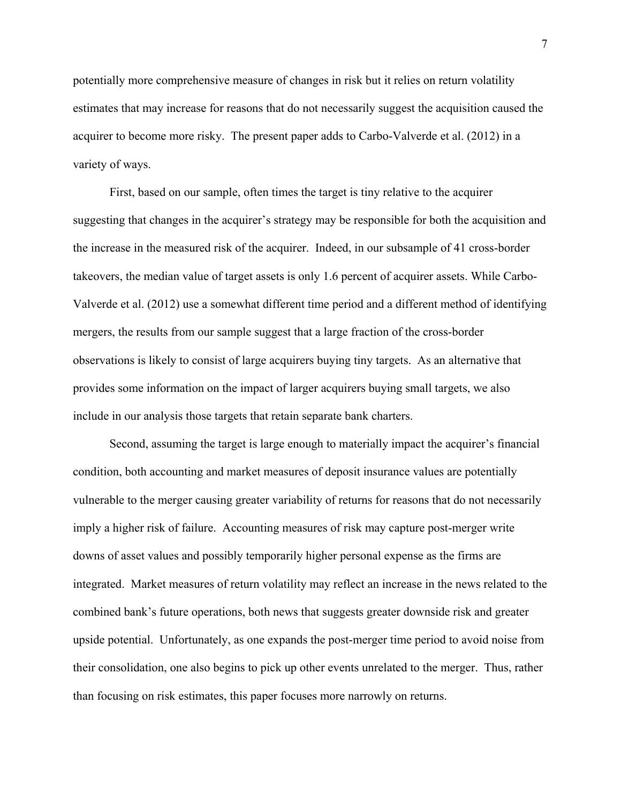potentially more comprehensive measure of changes in risk but it relies on return volatility estimates that may increase for reasons that do not necessarily suggest the acquisition caused the acquirer to become more risky. The present paper adds to Carbo-Valverde et al. (2012) in a variety of ways.

First, based on our sample, often times the target is tiny relative to the acquirer suggesting that changes in the acquirer's strategy may be responsible for both the acquisition and the increase in the measured risk of the acquirer. Indeed, in our subsample of 41 cross-border takeovers, the median value of target assets is only 1.6 percent of acquirer assets. While Carbo-Valverde et al. (2012) use a somewhat different time period and a different method of identifying mergers, the results from our sample suggest that a large fraction of the cross-border observations is likely to consist of large acquirers buying tiny targets. As an alternative that provides some information on the impact of larger acquirers buying small targets, we also include in our analysis those targets that retain separate bank charters.

Second, assuming the target is large enough to materially impact the acquirer's financial condition, both accounting and market measures of deposit insurance values are potentially vulnerable to the merger causing greater variability of returns for reasons that do not necessarily imply a higher risk of failure. Accounting measures of risk may capture post-merger write downs of asset values and possibly temporarily higher personal expense as the firms are integrated. Market measures of return volatility may reflect an increase in the news related to the combined bank's future operations, both news that suggests greater downside risk and greater upside potential. Unfortunately, as one expands the post-merger time period to avoid noise from their consolidation, one also begins to pick up other events unrelated to the merger. Thus, rather than focusing on risk estimates, this paper focuses more narrowly on returns.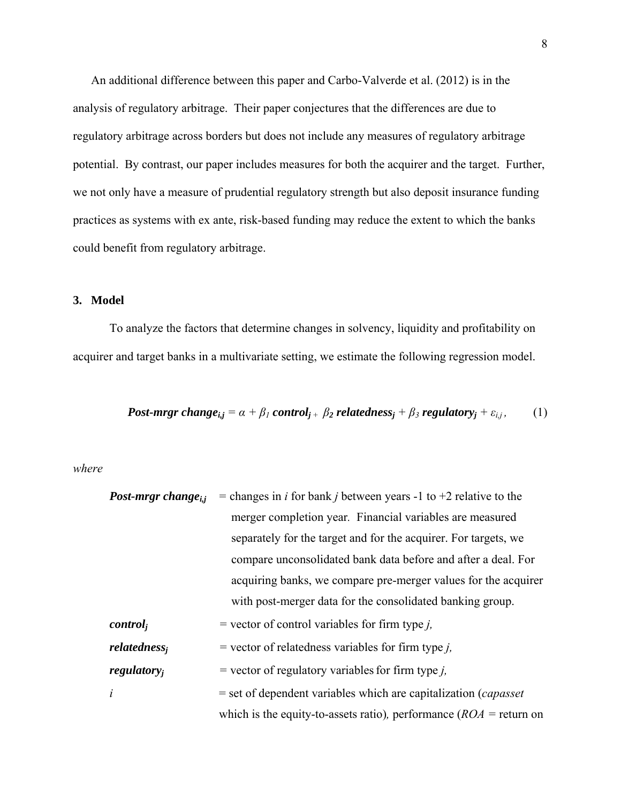An additional difference between this paper and Carbo-Valverde et al. (2012) is in the analysis of regulatory arbitrage. Their paper conjectures that the differences are due to regulatory arbitrage across borders but does not include any measures of regulatory arbitrage potential. By contrast, our paper includes measures for both the acquirer and the target. Further, we not only have a measure of prudential regulatory strength but also deposit insurance funding practices as systems with ex ante, risk-based funding may reduce the extent to which the banks could benefit from regulatory arbitrage.

### **3. Model**

 To analyze the factors that determine changes in solvency, liquidity and profitability on acquirer and target banks in a multivariate setting, we estimate the following regression model.

Post-mrgr change<sub>ij</sub> = 
$$
\alpha + \beta_1
$$
 control<sub>j</sub> +  $\beta_2$  relatedness<sub>j</sub> +  $\beta_3$  regulatory<sub>j</sub> +  $\varepsilon_{i,j}$ , (1)

*where* 

*Post-mrgr changei,j =* changes in *i* for bank *j* between years -1 to +2 relative to the merger completion year*.* Financial variables are measured separately for the target and for the acquirer. For targets, we compare unconsolidated bank data before and after a deal. For acquiring banks, we compare pre-merger values for the acquirer with post-merger data for the consolidated banking group. *controlj =* vector of control variables for firm type *j, relatednessj =* vector of relatedness variables for firm type *j, regulatoryj =* vector of regulatory variablesfor firm type *j, i* = set of dependent variables which are capitalization (*capasset*  which is the equity-to-assets ratio)*,* performance (*ROA =* return on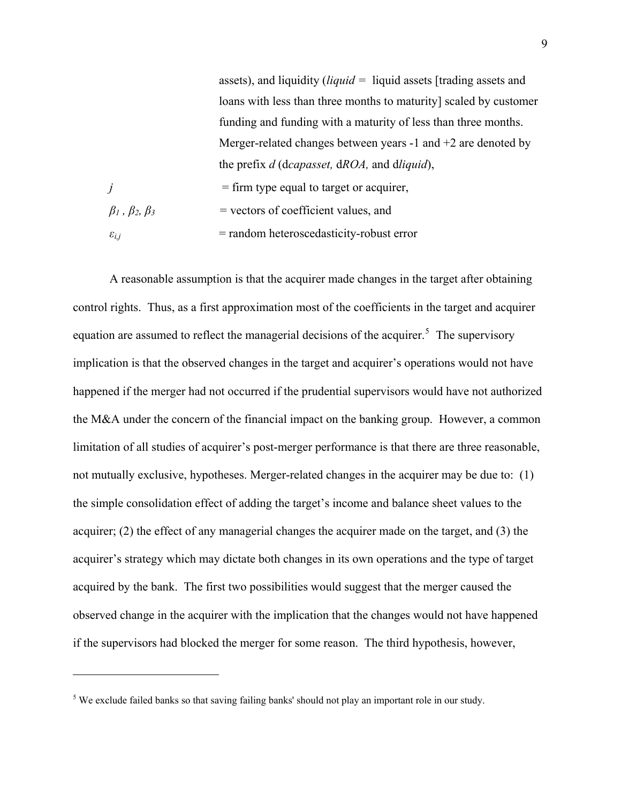assets), and liquidity (*liquid =* liquid assets [trading assets and loans with less than three months to maturity] scaled by customer funding and funding with a maturity of less than three months. Merger-related changes between years -1 and +2 are denoted by the prefix *d* (d*capasset,* d*ROA,* and d*liquid*),  $j = f$  firm type equal to target or acquirer,  $β<sub>1</sub>, β<sub>2</sub>, β<sub>3</sub>$  = vectors of coefficient values, and  $\varepsilon_{i,j}$  = random heteroscedasticity-robust error

A reasonable assumption is that the acquirer made changes in the target after obtaining control rights. Thus, as a first approximation most of the coefficients in the target and acquirer equation are assumed to reflect the managerial decisions of the acquirer.<sup>[5](#page-9-0)</sup> The supervisory implication is that the observed changes in the target and acquirer's operations would not have happened if the merger had not occurred if the prudential supervisors would have not authorized the M&A under the concern of the financial impact on the banking group. However, a common limitation of all studies of acquirer's post-merger performance is that there are three reasonable, not mutually exclusive, hypotheses. Merger-related changes in the acquirer may be due to: (1) the simple consolidation effect of adding the target's income and balance sheet values to the acquirer; (2) the effect of any managerial changes the acquirer made on the target, and (3) the acquirer's strategy which may dictate both changes in its own operations and the type of target acquired by the bank. The first two possibilities would suggest that the merger caused the observed change in the acquirer with the implication that the changes would not have happened if the supervisors had blocked the merger for some reason. The third hypothesis, however,

1

<span id="page-9-0"></span> $<sup>5</sup>$  We exclude failed banks so that saving failing banks' should not play an important role in our study.</sup>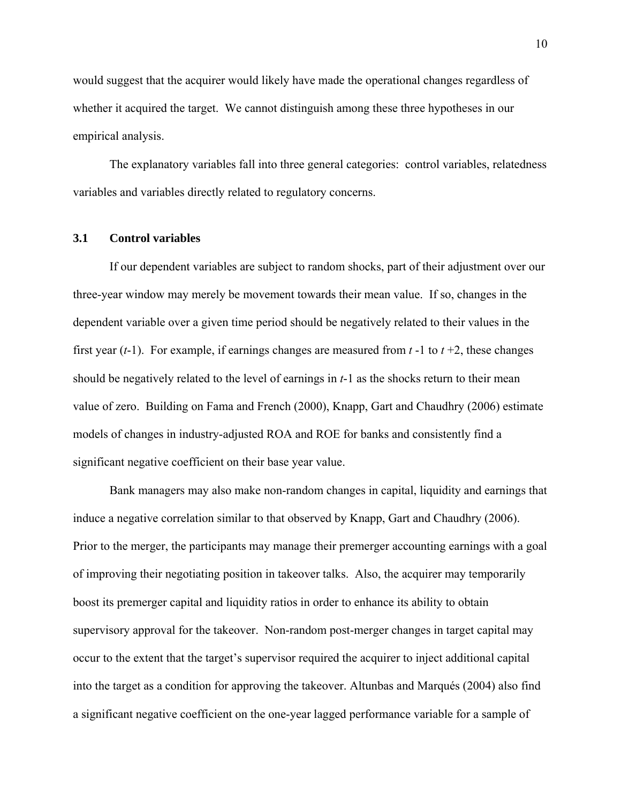would suggest that the acquirer would likely have made the operational changes regardless of whether it acquired the target. We cannot distinguish among these three hypotheses in our empirical analysis.

 The explanatory variables fall into three general categories: control variables, relatedness variables and variables directly related to regulatory concerns.

#### **3.1 Control variables**

 If our dependent variables are subject to random shocks, part of their adjustment over our three-year window may merely be movement towards their mean value. If so, changes in the dependent variable over a given time period should be negatively related to their values in the first year (*t*-1). For example, if earnings changes are measured from *t* -1 to *t* +2, these changes should be negatively related to the level of earnings in *t*-1 as the shocks return to their mean value of zero. Building on Fama and French (2000), Knapp, Gart and Chaudhry (2006) estimate models of changes in industry-adjusted ROA and ROE for banks and consistently find a significant negative coefficient on their base year value.

 Bank managers may also make non-random changes in capital, liquidity and earnings that induce a negative correlation similar to that observed by Knapp, Gart and Chaudhry (2006). Prior to the merger, the participants may manage their premerger accounting earnings with a goal of improving their negotiating position in takeover talks. Also, the acquirer may temporarily boost its premerger capital and liquidity ratios in order to enhance its ability to obtain supervisory approval for the takeover. Non-random post-merger changes in target capital may occur to the extent that the target's supervisor required the acquirer to inject additional capital into the target as a condition for approving the takeover. Altunbas and Marqués (2004) also find a significant negative coefficient on the one-year lagged performance variable for a sample of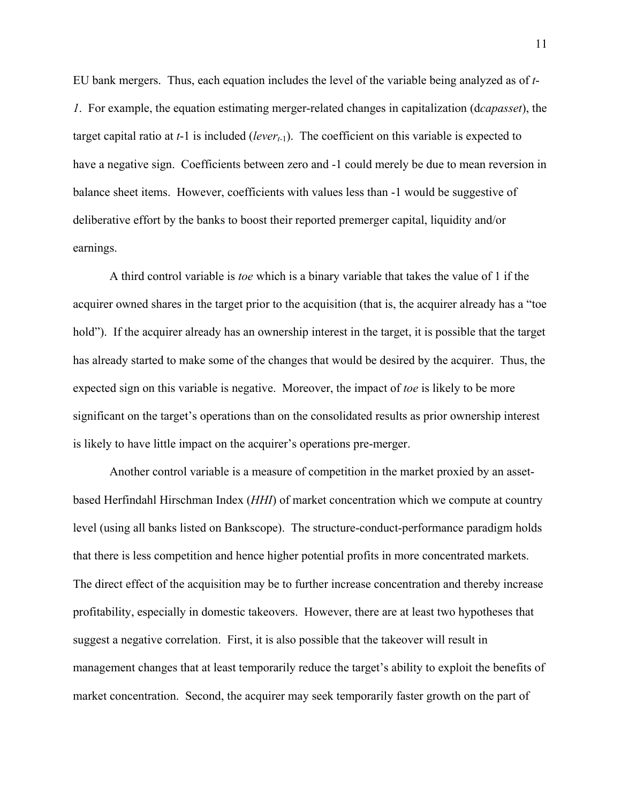EU bank mergers. Thus, each equation includes the level of the variable being analyzed as of *t*-*1*. For example, the equation estimating merger-related changes in capitalization (d*capasset*), the target capital ratio at  $t-1$  is included (*lever<sub>t-1</sub>*). The coefficient on this variable is expected to have a negative sign. Coefficients between zero and  $-1$  could merely be due to mean reversion in balance sheet items. However, coefficients with values less than -1 would be suggestive of deliberative effort by the banks to boost their reported premerger capital, liquidity and/or earnings.

 A third control variable is *toe* which is a binary variable that takes the value of 1 if the acquirer owned shares in the target prior to the acquisition (that is, the acquirer already has a "toe hold"). If the acquirer already has an ownership interest in the target, it is possible that the target has already started to make some of the changes that would be desired by the acquirer. Thus, the expected sign on this variable is negative. Moreover, the impact of *toe* is likely to be more significant on the target's operations than on the consolidated results as prior ownership interest is likely to have little impact on the acquirer's operations pre-merger.

Another control variable is a measure of competition in the market proxied by an assetbased Herfindahl Hirschman Index (*HHI*) of market concentration which we compute at country level (using all banks listed on Bankscope). The structure-conduct-performance paradigm holds that there is less competition and hence higher potential profits in more concentrated markets. The direct effect of the acquisition may be to further increase concentration and thereby increase profitability, especially in domestic takeovers. However, there are at least two hypotheses that suggest a negative correlation. First, it is also possible that the takeover will result in management changes that at least temporarily reduce the target's ability to exploit the benefits of market concentration. Second, the acquirer may seek temporarily faster growth on the part of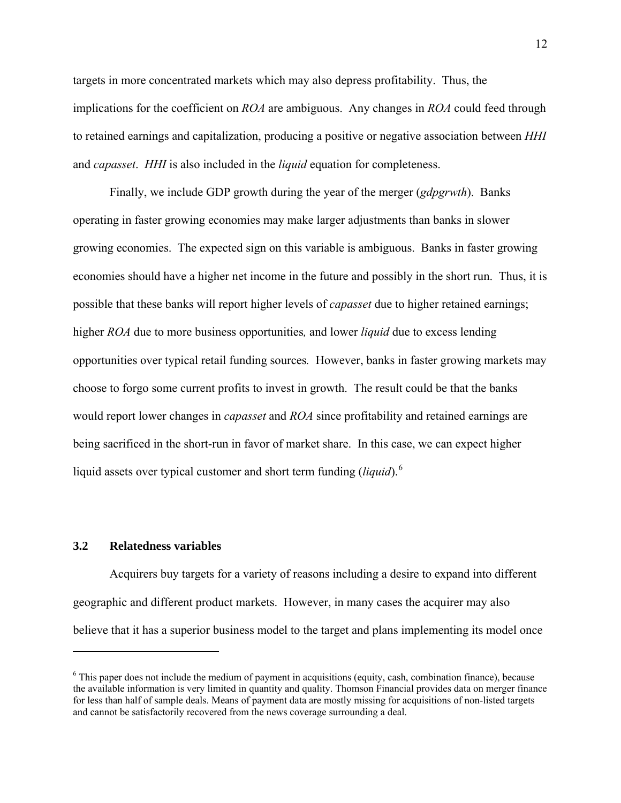targets in more concentrated markets which may also depress profitability. Thus, the implications for the coefficient on *ROA* are ambiguous. Any changes in *ROA* could feed through to retained earnings and capitalization, producing a positive or negative association between *HHI* and *capasset*. *HHI* is also included in the *liquid* equation for completeness.

Finally, we include GDP growth during the year of the merger (*gdpgrwth*). Banks operating in faster growing economies may make larger adjustments than banks in slower growing economies. The expected sign on this variable is ambiguous. Banks in faster growing economies should have a higher net income in the future and possibly in the short run. Thus, it is possible that these banks will report higher levels of *capasset* due to higher retained earnings; higher *ROA* due to more business opportunities*,* and lower *liquid* due to excess lending opportunities over typical retail funding sources*.* However, banks in faster growing markets may choose to forgo some current profits to invest in growth. The result could be that the banks would report lower changes in *capasset* and *ROA* since profitability and retained earnings are being sacrificed in the short-run in favor of market share. In this case, we can expect higher liquid assets over typical customer and short term funding (*liquid*).<sup>[6](#page-12-0)</sup>

### **3.2 Relatedness variables**

1

 Acquirers buy targets for a variety of reasons including a desire to expand into different geographic and different product markets. However, in many cases the acquirer may also believe that it has a superior business model to the target and plans implementing its model once

<span id="page-12-0"></span> $6$  This paper does not include the medium of payment in acquisitions (equity, cash, combination finance), because the available information is very limited in quantity and quality. Thomson Financial provides data on merger finance for less than half of sample deals. Means of payment data are mostly missing for acquisitions of non-listed targets and cannot be satisfactorily recovered from the news coverage surrounding a deal.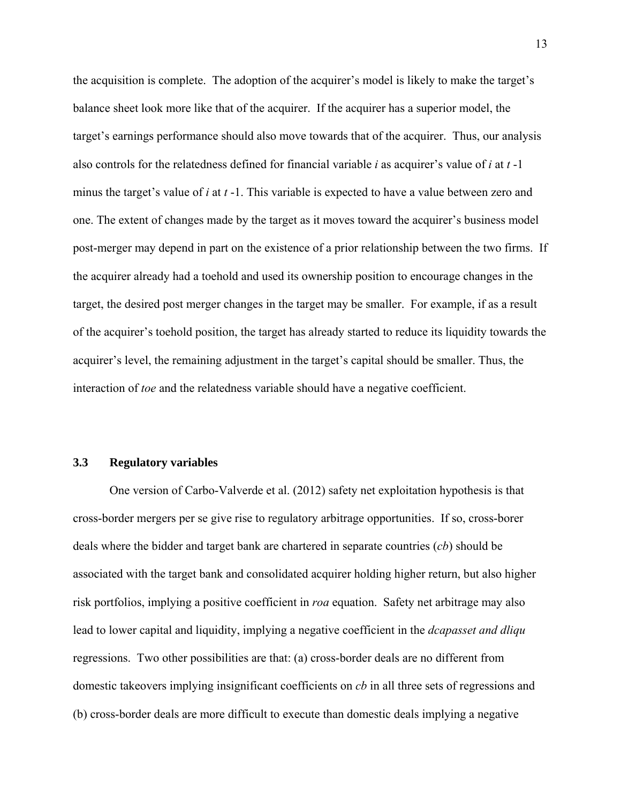the acquisition is complete. The adoption of the acquirer's model is likely to make the target's balance sheet look more like that of the acquirer. If the acquirer has a superior model, the target's earnings performance should also move towards that of the acquirer. Thus, our analysis also controls for the relatedness defined for financial variable *i* as acquirer's value of *i* at *t* -1 minus the target's value of *i* at *t* -1. This variable is expected to have a value between zero and one. The extent of changes made by the target as it moves toward the acquirer's business model post-merger may depend in part on the existence of a prior relationship between the two firms. If the acquirer already had a toehold and used its ownership position to encourage changes in the target, the desired post merger changes in the target may be smaller. For example, if as a result of the acquirer's toehold position, the target has already started to reduce its liquidity towards the acquirer's level, the remaining adjustment in the target's capital should be smaller. Thus, the interaction of *toe* and the relatedness variable should have a negative coefficient.

### **3.3 Regulatory variables**

One version of Carbo-Valverde et al. (2012) safety net exploitation hypothesis is that cross-border mergers per se give rise to regulatory arbitrage opportunities. If so, cross-borer deals where the bidder and target bank are chartered in separate countries (*cb*) should be associated with the target bank and consolidated acquirer holding higher return, but also higher risk portfolios, implying a positive coefficient in *roa* equation. Safety net arbitrage may also lead to lower capital and liquidity, implying a negative coefficient in the *dcapasset and dliqu* regressions. Two other possibilities are that: (a) cross-border deals are no different from domestic takeovers implying insignificant coefficients on *cb* in all three sets of regressions and (b) cross-border deals are more difficult to execute than domestic deals implying a negative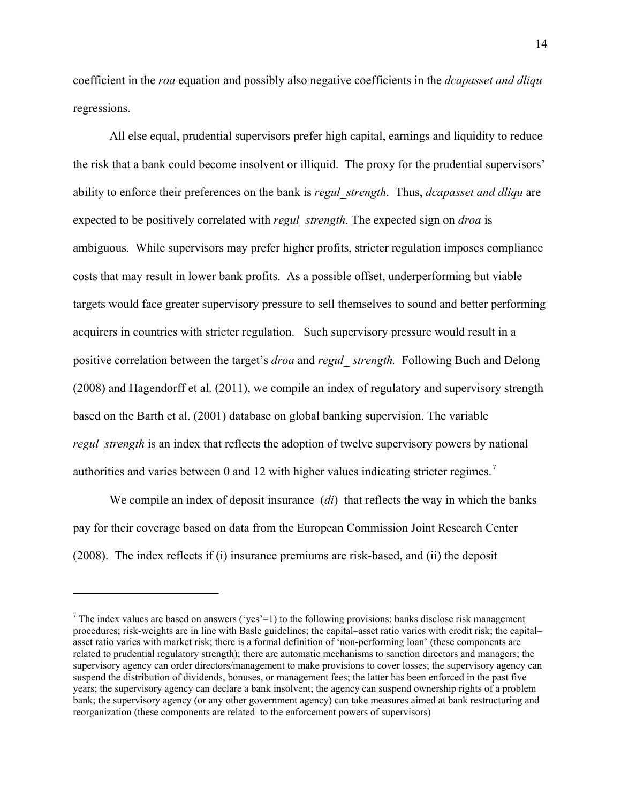coefficient in the *roa* equation and possibly also negative coefficients in the *dcapasset and dliqu* regressions.

All else equal, prudential supervisors prefer high capital, earnings and liquidity to reduce the risk that a bank could become insolvent or illiquid. The proxy for the prudential supervisors' ability to enforce their preferences on the bank is *regul\_strength*. Thus, *dcapasset and dliqu* are expected to be positively correlated with *regul\_strength*. The expected sign on *droa* is ambiguous. While supervisors may prefer higher profits, stricter regulation imposes compliance costs that may result in lower bank profits. As a possible offset, underperforming but viable targets would face greater supervisory pressure to sell themselves to sound and better performing acquirers in countries with stricter regulation. Such supervisory pressure would result in a positive correlation between the target's *droa* and *regul\_ strength.* Following Buch and Delong (2008) and Hagendorff et al. (2011), we compile an index of regulatory and supervisory strength based on the Barth et al. (2001) database on global banking supervision. The variable *regul strength* is an index that reflects the adoption of twelve supervisory powers by national authorities and varies between 0 and 12 with higher values indicating stricter regimes.<sup>[7](#page-14-0)</sup>

We compile an index of deposit insurance (*di*) that reflects the way in which the banks pay for their coverage based on data from the European Commission Joint Research Center (2008). The index reflects if (i) insurance premiums are risk-based, and (ii) the deposit

 $\overline{a}$ 

<span id="page-14-0"></span><sup>&</sup>lt;sup>7</sup> The index values are based on answers ('yes'=1) to the following provisions: banks disclose risk management procedures; risk-weights are in line with Basle guidelines; the capital–asset ratio varies with credit risk; the capital– asset ratio varies with market risk; there is a formal definition of 'non-performing loan' (these components are related to prudential regulatory strength); there are automatic mechanisms to sanction directors and managers; the supervisory agency can order directors/management to make provisions to cover losses; the supervisory agency can suspend the distribution of dividends, bonuses, or management fees; the latter has been enforced in the past five years; the supervisory agency can declare a bank insolvent; the agency can suspend ownership rights of a problem bank; the supervisory agency (or any other government agency) can take measures aimed at bank restructuring and reorganization (these components are related to the enforcement powers of supervisors)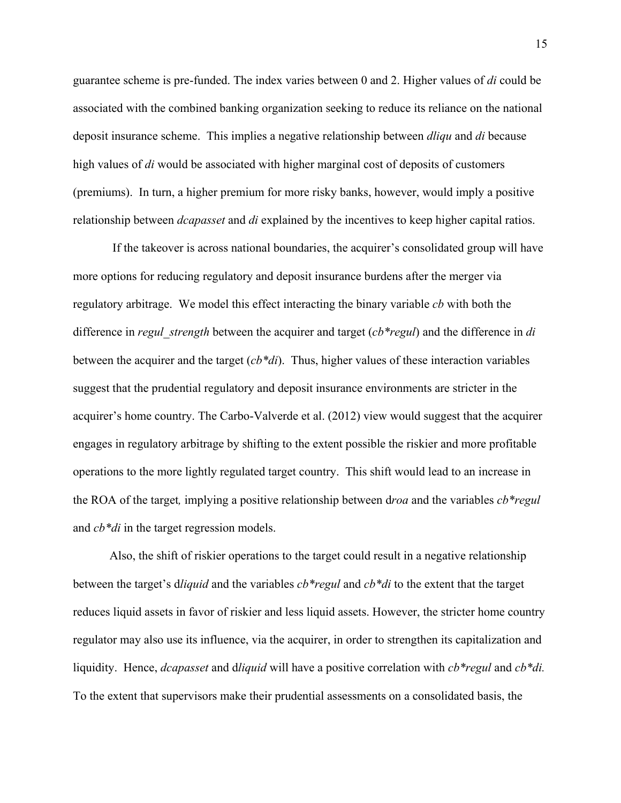guarantee scheme is pre-funded. The index varies between 0 and 2. Higher values of *di* could be associated with the combined banking organization seeking to reduce its reliance on the national deposit insurance scheme. This implies a negative relationship between *dliqu* and *di* because high values of *di* would be associated with higher marginal cost of deposits of customers (premiums). In turn, a higher premium for more risky banks, however, would imply a positive relationship between *dcapasset* and *di* explained by the incentives to keep higher capital ratios.

 If the takeover is across national boundaries, the acquirer's consolidated group will have more options for reducing regulatory and deposit insurance burdens after the merger via regulatory arbitrage. We model this effect interacting the binary variable *cb* with both the difference in *regul\_strength* between the acquirer and target (*cb\*regul*) and the difference in *di* between the acquirer and the target (*cb\*di*). Thus, higher values of these interaction variables suggest that the prudential regulatory and deposit insurance environments are stricter in the acquirer's home country. The Carbo-Valverde et al. (2012) view would suggest that the acquirer engages in regulatory arbitrage by shifting to the extent possible the riskier and more profitable operations to the more lightly regulated target country. This shift would lead to an increase in the ROA of the target*,* implying a positive relationship between d*roa* and the variables *cb\*regul* and *cb\*di* in the target regression models.

Also, the shift of riskier operations to the target could result in a negative relationship between the target's d*liquid* and the variables *cb\*regul* and *cb\*di* to the extent that the target reduces liquid assets in favor of riskier and less liquid assets. However, the stricter home country regulator may also use its influence, via the acquirer, in order to strengthen its capitalization and liquidity. Hence, *dcapasset* and d*liquid* will have a positive correlation with *cb\*regul* and *cb\*di.* To the extent that supervisors make their prudential assessments on a consolidated basis, the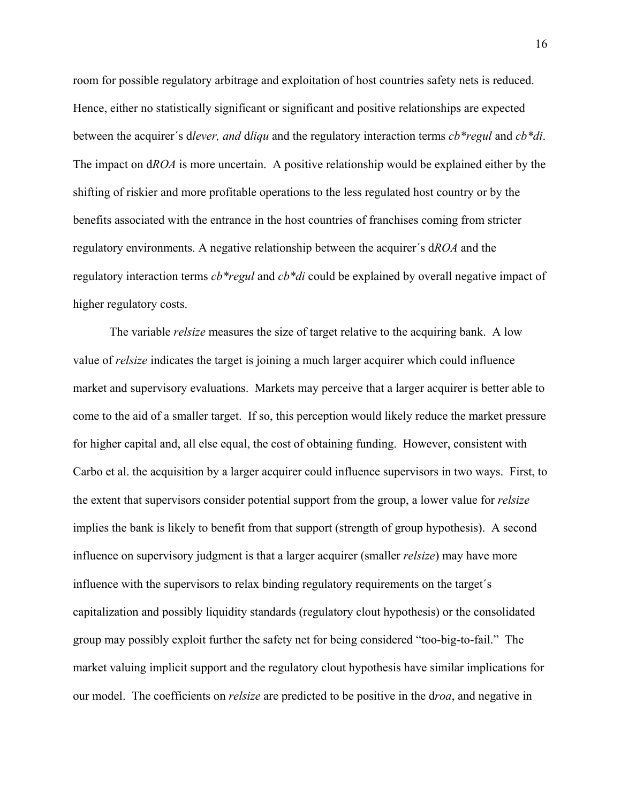room for possible regulatory arbitrage and exploitation of host countries safety nets is reduced. Hence, either no statistically significant or significant and positive relationships are expected between the acquirer´s d*lever, and* d*liqu* and the regulatory interaction terms *cb\*regul* and *cb\*di*. The impact on d*ROA* is more uncertain. A positive relationship would be explained either by the shifting of riskier and more profitable operations to the less regulated host country or by the benefits associated with the entrance in the host countries of franchises coming from stricter regulatory environments. A negative relationship between the acquirer´s d*ROA* and the regulatory interaction terms *cb\*regul* and *cb\*di* could be explained by overall negative impact of higher regulatory costs.

 The variable *relsize* measures the size of target relative to the acquiring bank. A low value of *relsize* indicates the target is joining a much larger acquirer which could influence market and supervisory evaluations. Markets may perceive that a larger acquirer is better able to come to the aid of a smaller target. If so, this perception would likely reduce the market pressure for higher capital and, all else equal, the cost of obtaining funding. However, consistent with Carbo et al. the acquisition by a larger acquirer could influence supervisors in two ways. First, to the extent that supervisors consider potential support from the group, a lower value for *relsize* implies the bank is likely to benefit from that support (strength of group hypothesis). A second influence on supervisory judgment is that a larger acquirer (smaller *relsize*) may have more influence with the supervisors to relax binding regulatory requirements on the target´s capitalization and possibly liquidity standards (regulatory clout hypothesis) or the consolidated group may possibly exploit further the safety net for being considered "too-big-to-fail." The market valuing implicit support and the regulatory clout hypothesis have similar implications for our model. The coefficients on *relsize* are predicted to be positive in the d*roa*, and negative in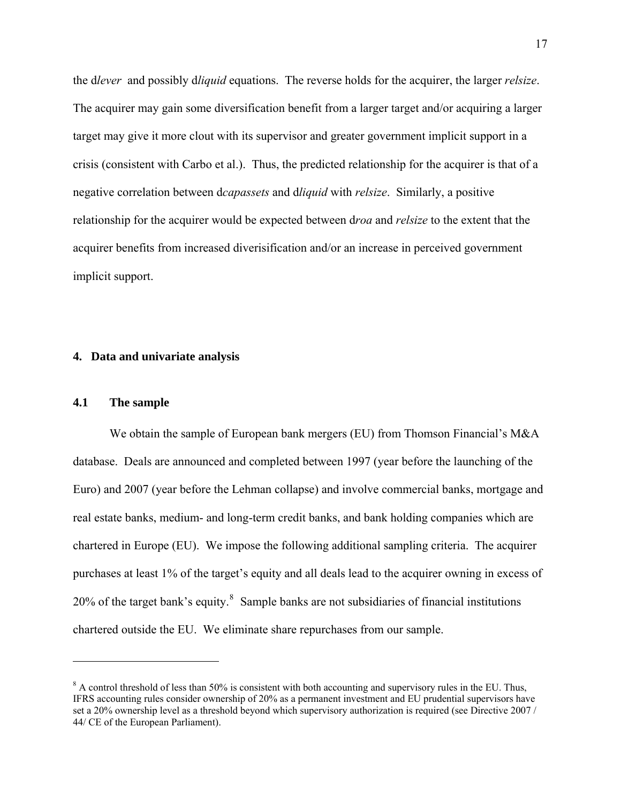the d*lever* and possibly d*liquid* equations. The reverse holds for the acquirer, the larger *relsize*. The acquirer may gain some diversification benefit from a larger target and/or acquiring a larger target may give it more clout with its supervisor and greater government implicit support in a crisis (consistent with Carbo et al.). Thus, the predicted relationship for the acquirer is that of a negative correlation between d*capassets* and d*liquid* with *relsize*. Similarly, a positive relationship for the acquirer would be expected between d*roa* and *relsize* to the extent that the acquirer benefits from increased diverisification and/or an increase in perceived government implicit support.

### **4. Data and univariate analysis**

### **4.1 The sample**

 $\overline{a}$ 

We obtain the sample of European bank mergers (EU) from Thomson Financial's M&A database. Deals are announced and completed between 1997 (year before the launching of the Euro) and 2007 (year before the Lehman collapse) and involve commercial banks, mortgage and real estate banks, medium- and long-term credit banks, and bank holding companies which are chartered in Europe (EU). We impose the following additional sampling criteria. The acquirer purchases at least 1% of the target's equity and all deals lead to the acquirer owning in excess of 20% of the target bank's equity.<sup>[8](#page-17-0)</sup> Sample banks are not subsidiaries of financial institutions chartered outside the EU. We eliminate share repurchases from our sample.

<span id="page-17-0"></span> $8$  A control threshold of less than 50% is consistent with both accounting and supervisory rules in the EU. Thus, IFRS accounting rules consider ownership of 20% as a permanent investment and EU prudential supervisors have set a 20% ownership level as a threshold beyond which supervisory authorization is required (see Directive 2007 / 44/ CE of the European Parliament).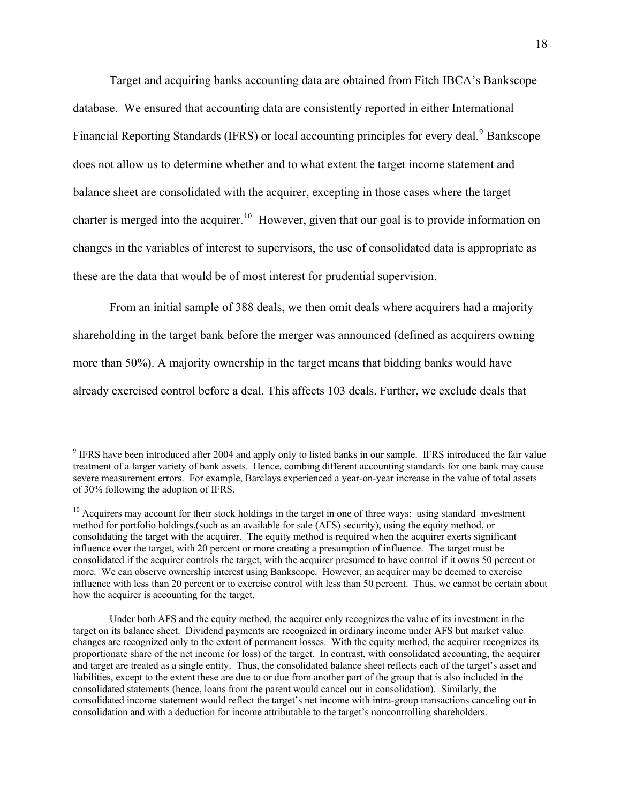Target and acquiring banks accounting data are obtained from Fitch IBCA's Bankscope database. We ensured that accounting data are consistently reported in either International Financial Reporting Standards (IFRS) or local accounting principles for every deal.<sup>[9](#page-18-0)</sup> Bankscope does not allow us to determine whether and to what extent the target income statement and balance sheet are consolidated with the acquirer, excepting in those cases where the target charter is merged into the acquirer.<sup>[10](#page-18-1)</sup> However, given that our goal is to provide information on changes in the variables of interest to supervisors, the use of consolidated data is appropriate as these are the data that would be of most interest for prudential supervision.

From an initial sample of 388 deals, we then omit deals where acquirers had a majority shareholding in the target bank before the merger was announced (defined as acquirers owning more than 50%). A majority ownership in the target means that bidding banks would have already exercised control before a deal. This affects 103 deals. Further, we exclude deals that

 $\overline{a}$ 

<span id="page-18-0"></span><sup>&</sup>lt;sup>9</sup> IFRS have been introduced after 2004 and apply only to listed banks in our sample. IFRS introduced the fair value treatment of a larger variety of bank assets. Hence, combing different accounting standards for one bank may cause severe measurement errors. For example, Barclays experienced a year-on-year increase in the value of total assets of 30% following the adoption of IFRS.

<span id="page-18-1"></span><sup>&</sup>lt;sup>10</sup> Acquirers may account for their stock holdings in the target in one of three ways: using standard investment method for portfolio holdings,(such as an available for sale (AFS) security), using the equity method, or consolidating the target with the acquirer. The equity method is required when the acquirer exerts significant influence over the target, with 20 percent or more creating a presumption of influence. The target must be consolidated if the acquirer controls the target, with the acquirer presumed to have control if it owns 50 percent or more. We can observe ownership interest using Bankscope. However, an acquirer may be deemed to exercise influence with less than 20 percent or to exercise control with less than 50 percent. Thus, we cannot be certain about how the acquirer is accounting for the target.

Under both AFS and the equity method, the acquirer only recognizes the value of its investment in the target on its balance sheet. Dividend payments are recognized in ordinary income under AFS but market value changes are recognized only to the extent of permanent losses. With the equity method, the acquirer recognizes its proportionate share of the net income (or loss) of the target. In contrast, with consolidated accounting, the acquirer and target are treated as a single entity. Thus, the consolidated balance sheet reflects each of the target's asset and liabilities, except to the extent these are due to or due from another part of the group that is also included in the consolidated statements (hence, loans from the parent would cancel out in consolidation). Similarly, the consolidated income statement would reflect the target's net income with intra-group transactions canceling out in consolidation and with a deduction for income attributable to the target's noncontrolling shareholders.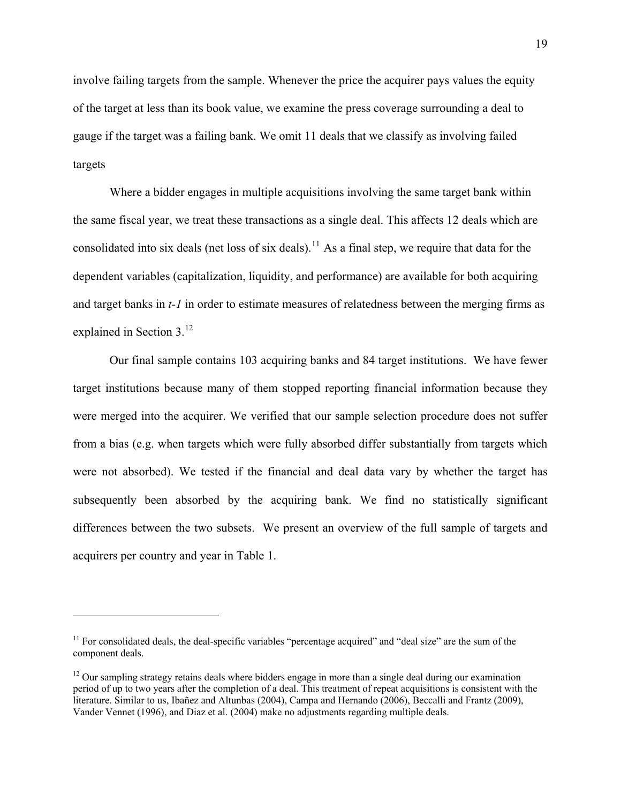involve failing targets from the sample. Whenever the price the acquirer pays values the equity of the target at less than its book value, we examine the press coverage surrounding a deal to gauge if the target was a failing bank. We omit 11 deals that we classify as involving failed targets

Where a bidder engages in multiple acquisitions involving the same target bank within the same fiscal year, we treat these transactions as a single deal. This affects 12 deals which are consolidated into six deals (net loss of six deals).<sup>[11](#page-19-0)</sup> As a final step, we require that data for the dependent variables (capitalization, liquidity, and performance) are available for both acquiring and target banks in *t-1* in order to estimate measures of relatedness between the merging firms as explained in Section 3.<sup>[12](#page-19-1)</sup>

Our final sample contains 103 acquiring banks and 84 target institutions. We have fewer target institutions because many of them stopped reporting financial information because they were merged into the acquirer. We verified that our sample selection procedure does not suffer from a bias (e.g. when targets which were fully absorbed differ substantially from targets which were not absorbed). We tested if the financial and deal data vary by whether the target has subsequently been absorbed by the acquiring bank. We find no statistically significant differences between the two subsets. We present an overview of the full sample of targets and acquirers per country and year in Table 1.

 $\overline{a}$ 

<span id="page-19-0"></span> $11$  For consolidated deals, the deal-specific variables "percentage acquired" and "deal size" are the sum of the component deals.

<span id="page-19-1"></span> $12$  Our sampling strategy retains deals where bidders engage in more than a single deal during our examination period of up to two years after the completion of a deal. This treatment of repeat acquisitions is consistent with the literature. Similar to us, Ibañez and Altunbas (2004), Campa and Hernando (2006), Beccalli and Frantz (2009), Vander Vennet (1996), and Diaz et al. (2004) make no adjustments regarding multiple deals.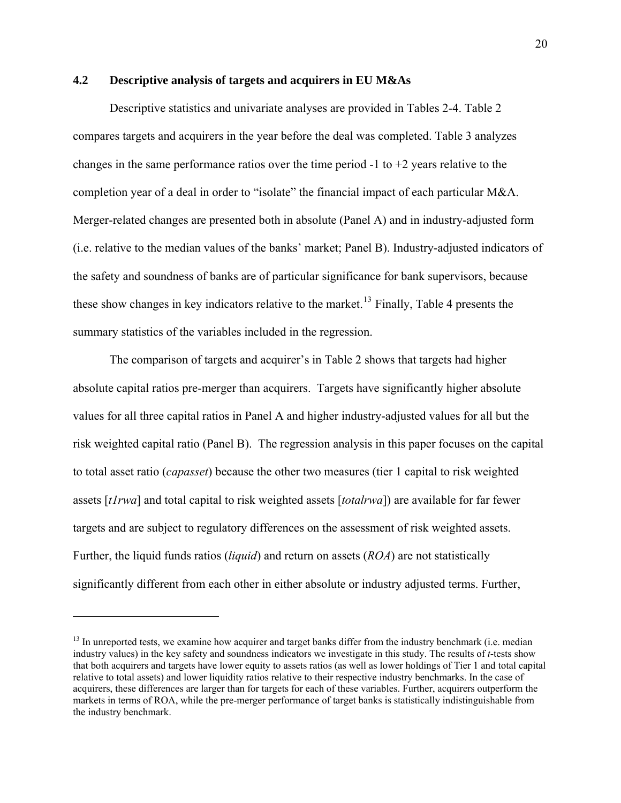# **4.2 Descriptive analysis of targets and acquirers in EU M&As**

Descriptive statistics and univariate analyses are provided in Tables 2-4. Table 2 compares targets and acquirers in the year before the deal was completed. Table 3 analyzes changes in the same performance ratios over the time period -1 to +2 years relative to the completion year of a deal in order to "isolate" the financial impact of each particular M&A. Merger-related changes are presented both in absolute (Panel A) and in industry-adjusted form (i.e. relative to the median values of the banks' market; Panel B). Industry-adjusted indicators of the safety and soundness of banks are of particular significance for bank supervisors, because these show changes in key indicators relative to the market.<sup>[13](#page-20-0)</sup> Finally, Table 4 presents the summary statistics of the variables included in the regression.

 The comparison of targets and acquirer's in Table 2 shows that targets had higher absolute capital ratios pre-merger than acquirers. Targets have significantly higher absolute values for all three capital ratios in Panel A and higher industry-adjusted values for all but the risk weighted capital ratio (Panel B). The regression analysis in this paper focuses on the capital to total asset ratio (*capasset*) because the other two measures (tier 1 capital to risk weighted assets [*t1rwa*] and total capital to risk weighted assets [*totalrwa*]) are available for far fewer targets and are subject to regulatory differences on the assessment of risk weighted assets. Further, the liquid funds ratios (*liquid*) and return on assets (*ROA*) are not statistically significantly different from each other in either absolute or industry adjusted terms. Further,

1

<span id="page-20-0"></span><sup>&</sup>lt;sup>13</sup> In unreported tests, we examine how acquirer and target banks differ from the industry benchmark (i.e. median industry values) in the key safety and soundness indicators we investigate in this study. The results of *t*-tests show that both acquirers and targets have lower equity to assets ratios (as well as lower holdings of Tier 1 and total capital relative to total assets) and lower liquidity ratios relative to their respective industry benchmarks. In the case of acquirers, these differences are larger than for targets for each of these variables. Further, acquirers outperform the markets in terms of ROA, while the pre-merger performance of target banks is statistically indistinguishable from the industry benchmark.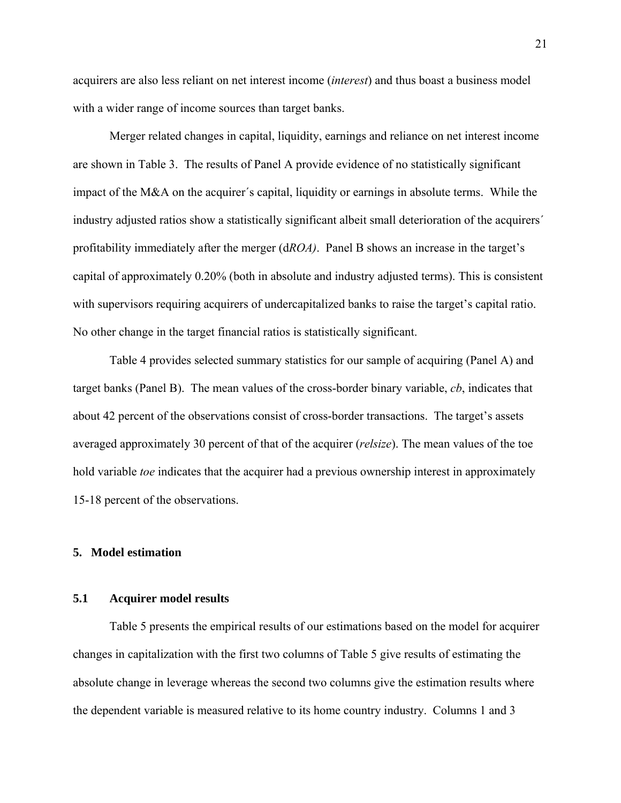acquirers are also less reliant on net interest income (*interest*) and thus boast a business model with a wider range of income sources than target banks.

 Merger related changes in capital, liquidity, earnings and reliance on net interest income are shown in Table 3. The results of Panel A provide evidence of no statistically significant impact of the M&A on the acquirer´s capital, liquidity or earnings in absolute terms. While the industry adjusted ratios show a statistically significant albeit small deterioration of the acquirers´ profitability immediately after the merger (d*ROA)*. Panel B shows an increase in the target's capital of approximately 0.20% (both in absolute and industry adjusted terms). This is consistent with supervisors requiring acquirers of undercapitalized banks to raise the target's capital ratio. No other change in the target financial ratios is statistically significant.

Table 4 provides selected summary statistics for our sample of acquiring (Panel A) and target banks (Panel B). The mean values of the cross-border binary variable, *cb*, indicates that about 42 percent of the observations consist of cross-border transactions. The target's assets averaged approximately 30 percent of that of the acquirer (*relsize*). The mean values of the toe hold variable *toe* indicates that the acquirer had a previous ownership interest in approximately 15-18 percent of the observations.

## **5. Model estimation**

### **5.1 Acquirer model results**

 Table 5 presents the empirical results of our estimations based on the model for acquirer changes in capitalization with the first two columns of Table 5 give results of estimating the absolute change in leverage whereas the second two columns give the estimation results where the dependent variable is measured relative to its home country industry. Columns 1 and 3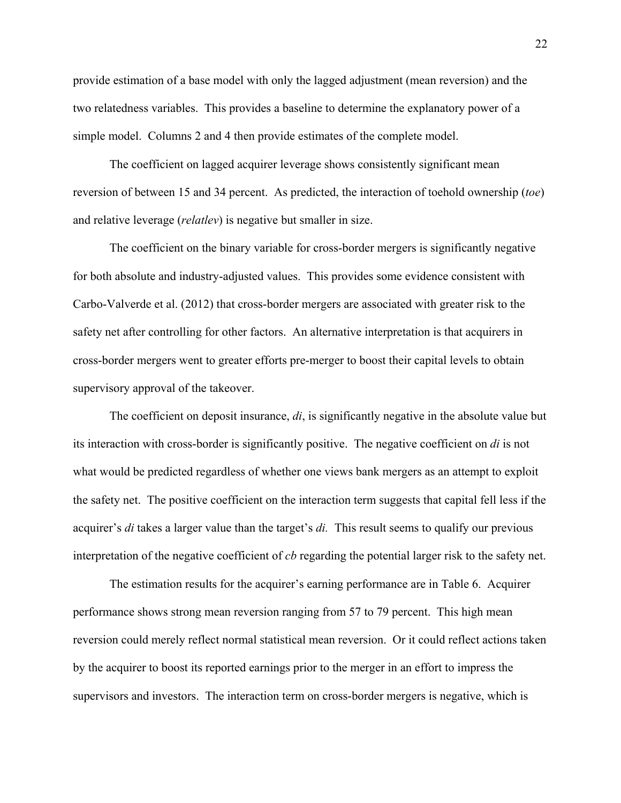provide estimation of a base model with only the lagged adjustment (mean reversion) and the two relatedness variables. This provides a baseline to determine the explanatory power of a simple model. Columns 2 and 4 then provide estimates of the complete model.

The coefficient on lagged acquirer leverage shows consistently significant mean reversion of between 15 and 34 percent. As predicted, the interaction of toehold ownership (*toe*) and relative leverage (*relatlev*) is negative but smaller in size.

The coefficient on the binary variable for cross-border mergers is significantly negative for both absolute and industry-adjusted values. This provides some evidence consistent with Carbo-Valverde et al. (2012) that cross-border mergers are associated with greater risk to the safety net after controlling for other factors. An alternative interpretation is that acquirers in cross-border mergers went to greater efforts pre-merger to boost their capital levels to obtain supervisory approval of the takeover.

The coefficient on deposit insurance, *di*, is significantly negative in the absolute value but its interaction with cross-border is significantly positive. The negative coefficient on *di* is not what would be predicted regardless of whether one views bank mergers as an attempt to exploit the safety net. The positive coefficient on the interaction term suggests that capital fell less if the acquirer's *di* takes a larger value than the target's *di.* This result seems to qualify our previous interpretation of the negative coefficient of *cb* regarding the potential larger risk to the safety net.

The estimation results for the acquirer's earning performance are in Table 6. Acquirer performance shows strong mean reversion ranging from 57 to 79 percent. This high mean reversion could merely reflect normal statistical mean reversion. Or it could reflect actions taken by the acquirer to boost its reported earnings prior to the merger in an effort to impress the supervisors and investors. The interaction term on cross-border mergers is negative, which is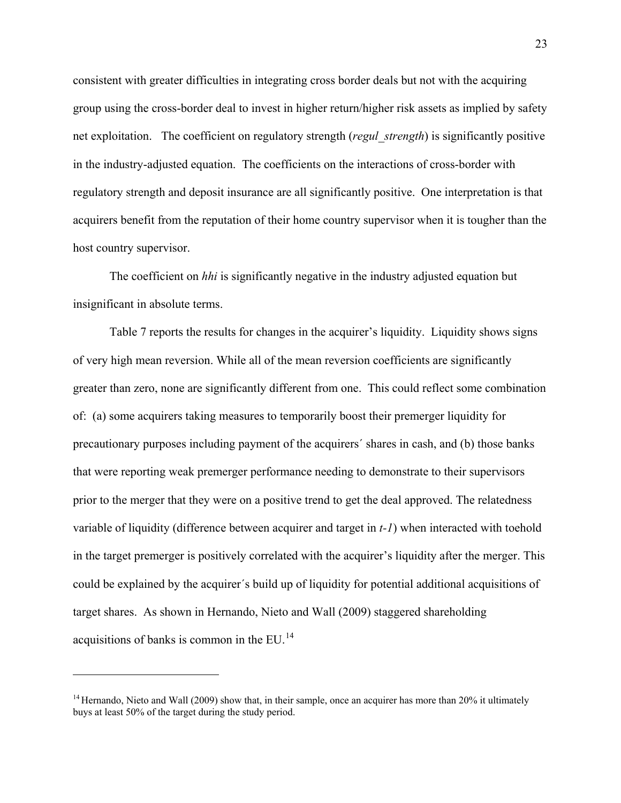consistent with greater difficulties in integrating cross border deals but not with the acquiring group using the cross-border deal to invest in higher return/higher risk assets as implied by safety net exploitation. The coefficient on regulatory strength (*regul\_strength*) is significantly positive in the industry-adjusted equation. The coefficients on the interactions of cross-border with regulatory strength and deposit insurance are all significantly positive. One interpretation is that acquirers benefit from the reputation of their home country supervisor when it is tougher than the host country supervisor.

The coefficient on *hhi* is significantly negative in the industry adjusted equation but insignificant in absolute terms.

Table 7 reports the results for changes in the acquirer's liquidity. Liquidity shows signs of very high mean reversion. While all of the mean reversion coefficients are significantly greater than zero, none are significantly different from one. This could reflect some combination of: (a) some acquirers taking measures to temporarily boost their premerger liquidity for precautionary purposes including payment of the acquirers´ shares in cash, and (b) those banks that were reporting weak premerger performance needing to demonstrate to their supervisors prior to the merger that they were on a positive trend to get the deal approved. The relatedness variable of liquidity (difference between acquirer and target in *t-1*) when interacted with toehold in the target premerger is positively correlated with the acquirer's liquidity after the merger. This could be explained by the acquirer´s build up of liquidity for potential additional acquisitions of target shares. As shown in Hernando, Nieto and Wall (2009) staggered shareholding acquisitions of banks is common in the EU.[14](#page-23-0)

 $\overline{a}$ 

<span id="page-23-0"></span><sup>&</sup>lt;sup>14</sup> Hernando, Nieto and Wall (2009) show that, in their sample, once an acquirer has more than 20% it ultimately buys at least 50% of the target during the study period.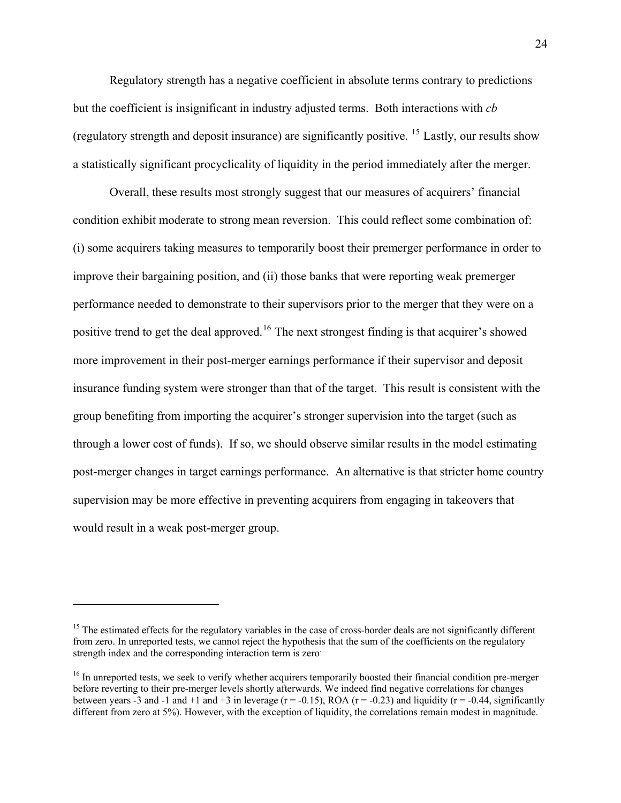Regulatory strength has a negative coefficient in absolute terms contrary to predictions but the coefficient is insignificant in industry adjusted terms. Both interactions with *cb* (regulatory strength and deposit insurance) are significantly positive. <sup>[15](#page-24-0)</sup> Lastly, our results show a statistically significant procyclicality of liquidity in the period immediately after the merger.

Overall, these results most strongly suggest that our measures of acquirers' financial condition exhibit moderate to strong mean reversion. This could reflect some combination of: (i) some acquirers taking measures to temporarily boost their premerger performance in order to improve their bargaining position, and (ii) those banks that were reporting weak premerger performance needed to demonstrate to their supervisors prior to the merger that they were on a positive trend to get the deal approved.<sup>[16](#page-24-1)</sup> The next strongest finding is that acquirer's showed more improvement in their post-merger earnings performance if their supervisor and deposit insurance funding system were stronger than that of the target. This result is consistent with the group benefiting from importing the acquirer's stronger supervision into the target (such as through a lower cost of funds). If so, we should observe similar results in the model estimating post-merger changes in target earnings performance. An alternative is that stricter home country supervision may be more effective in preventing acquirers from engaging in takeovers that would result in a weak post-merger group.

 $\overline{a}$ 

<span id="page-24-0"></span><sup>&</sup>lt;sup>15</sup> The estimated effects for the regulatory variables in the case of cross-border deals are not significantly different from zero. In unreported tests, we cannot reject the hypothesis that the sum of the coefficients on the regulatory strength index and the corresponding interaction term is zero.

<span id="page-24-1"></span><sup>&</sup>lt;sup>16</sup> In unreported tests, we seek to verify whether acquirers temporarily boosted their financial condition pre-merger before reverting to their pre-merger levels shortly afterwards. We indeed find negative correlations for changes between years -3 and -1 and +1 and +3 in leverage  $(r = -0.15)$ , ROA  $(r = -0.23)$  and liquidity  $(r = -0.44$ , significantly different from zero at 5%). However, with the exception of liquidity, the correlations remain modest in magnitude.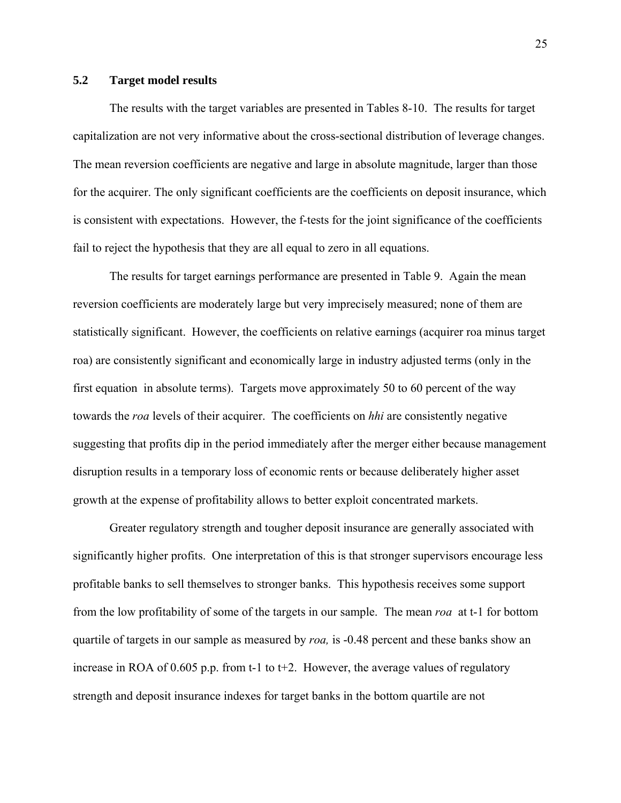### **5.2 Target model results**

 The results with the target variables are presented in Tables 8-10. The results for target capitalization are not very informative about the cross-sectional distribution of leverage changes. The mean reversion coefficients are negative and large in absolute magnitude, larger than those for the acquirer. The only significant coefficients are the coefficients on deposit insurance, which is consistent with expectations. However, the f-tests for the joint significance of the coefficients fail to reject the hypothesis that they are all equal to zero in all equations.

 The results for target earnings performance are presented in Table 9. Again the mean reversion coefficients are moderately large but very imprecisely measured; none of them are statistically significant. However, the coefficients on relative earnings (acquirer roa minus target roa) are consistently significant and economically large in industry adjusted terms (only in the first equation in absolute terms). Targets move approximately 50 to 60 percent of the way towards the *roa* levels of their acquirer. The coefficients on *hhi* are consistently negative suggesting that profits dip in the period immediately after the merger either because management disruption results in a temporary loss of economic rents or because deliberately higher asset growth at the expense of profitability allows to better exploit concentrated markets.

 Greater regulatory strength and tougher deposit insurance are generally associated with significantly higher profits. One interpretation of this is that stronger supervisors encourage less profitable banks to sell themselves to stronger banks. This hypothesis receives some support from the low profitability of some of the targets in our sample. The mean *roa* at t-1 for bottom quartile of targets in our sample as measured by *roa,* is -0.48 percent and these banks show an increase in ROA of 0.605 p.p. from t-1 to t+2. However, the average values of regulatory strength and deposit insurance indexes for target banks in the bottom quartile are not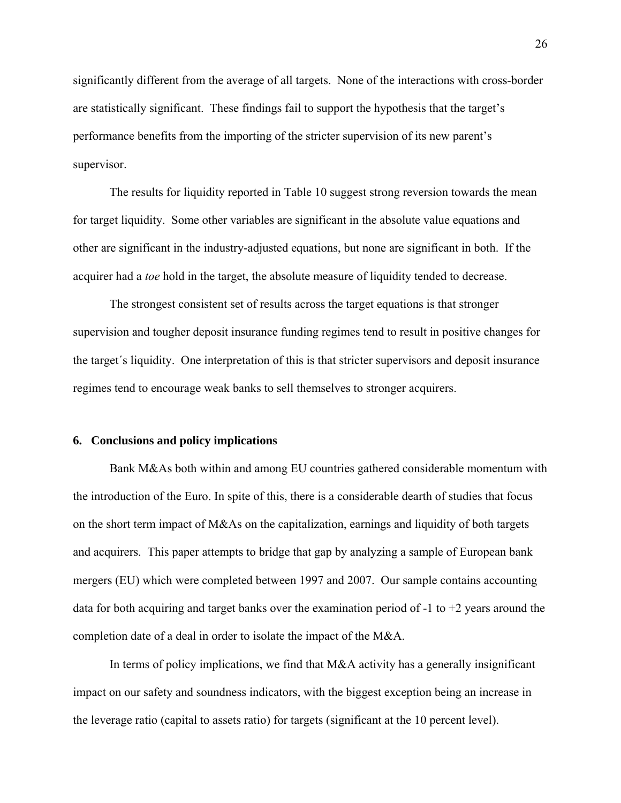significantly different from the average of all targets. None of the interactions with cross-border are statistically significant. These findings fail to support the hypothesis that the target's performance benefits from the importing of the stricter supervision of its new parent's supervisor.

 The results for liquidity reported in Table 10 suggest strong reversion towards the mean for target liquidity. Some other variables are significant in the absolute value equations and other are significant in the industry-adjusted equations, but none are significant in both. If the acquirer had a *toe* hold in the target, the absolute measure of liquidity tended to decrease.

 The strongest consistent set of results across the target equations is that stronger supervision and tougher deposit insurance funding regimes tend to result in positive changes for the target´s liquidity. One interpretation of this is that stricter supervisors and deposit insurance regimes tend to encourage weak banks to sell themselves to stronger acquirers.

### **6. Conclusions and policy implications**

Bank M&As both within and among EU countries gathered considerable momentum with the introduction of the Euro. In spite of this, there is a considerable dearth of studies that focus on the short term impact of M&As on the capitalization, earnings and liquidity of both targets and acquirers. This paper attempts to bridge that gap by analyzing a sample of European bank mergers (EU) which were completed between 1997 and 2007. Our sample contains accounting data for both acquiring and target banks over the examination period of  $-1$  to  $+2$  years around the completion date of a deal in order to isolate the impact of the M&A.

 In terms of policy implications, we find that M&A activity has a generally insignificant impact on our safety and soundness indicators, with the biggest exception being an increase in the leverage ratio (capital to assets ratio) for targets (significant at the 10 percent level).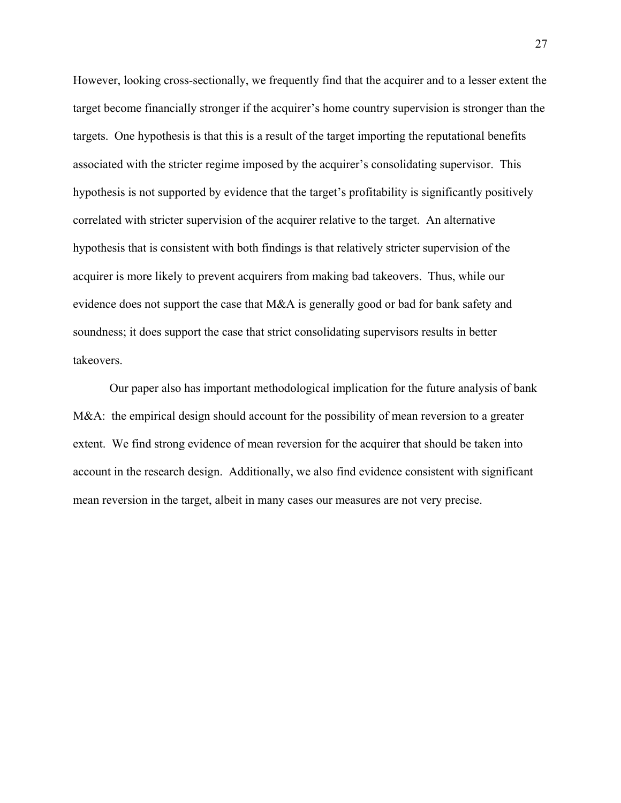However, looking cross-sectionally, we frequently find that the acquirer and to a lesser extent the target become financially stronger if the acquirer's home country supervision is stronger than the targets. One hypothesis is that this is a result of the target importing the reputational benefits associated with the stricter regime imposed by the acquirer's consolidating supervisor. This hypothesis is not supported by evidence that the target's profitability is significantly positively correlated with stricter supervision of the acquirer relative to the target. An alternative hypothesis that is consistent with both findings is that relatively stricter supervision of the acquirer is more likely to prevent acquirers from making bad takeovers. Thus, while our evidence does not support the case that M&A is generally good or bad for bank safety and soundness; it does support the case that strict consolidating supervisors results in better takeovers.

 Our paper also has important methodological implication for the future analysis of bank M&A: the empirical design should account for the possibility of mean reversion to a greater extent. We find strong evidence of mean reversion for the acquirer that should be taken into account in the research design. Additionally, we also find evidence consistent with significant mean reversion in the target, albeit in many cases our measures are not very precise.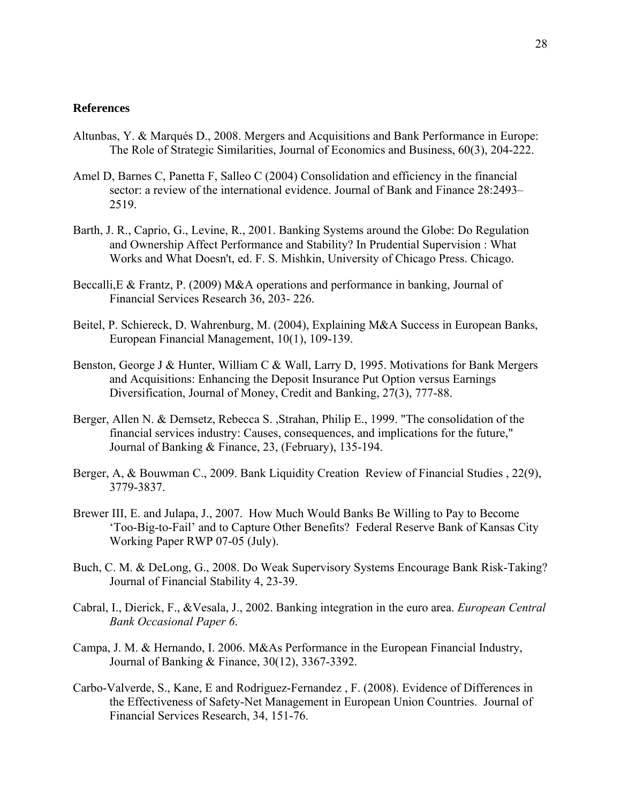### **References**

- Altunbas, Y. & Marqués D., 2008. Mergers and Acquisitions and Bank Performance in Europe: The Role of Strategic Similarities, Journal of Economics and Business, 60(3), 204-222.
- Amel D, Barnes C, Panetta F, Salleo C (2004) Consolidation and efficiency in the financial sector: a review of the international evidence. Journal of Bank and Finance 28:2493– 2519.
- Barth, J. R., Caprio, G., Levine, R., 2001. Banking Systems around the Globe: Do Regulation and Ownership Affect Performance and Stability? In Prudential Supervision : What Works and What Doesn't, ed. F. S. Mishkin, University of Chicago Press. Chicago.
- Beccalli,E & Frantz, P. (2009) M&A operations and performance in banking, Journal of Financial Services Research 36, 203- 226.
- Beitel, P. Schiereck, D. Wahrenburg, M. (2004), Explaining M&A Success in European Banks, European Financial Management, 10(1), 109-139.
- Benston, George J & Hunter, William C & Wall, Larry D, 1995. Motivations for Bank Mergers and Acquisitions: Enhancing the Deposit Insurance Put Option versus Earnings Diversification, Journal of Money, Credit and Banking, 27(3), 777-88.
- Berger, Allen N. & Demsetz, Rebecca S. ,Strahan, Philip E., 1999. "The consolidation of the financial services industry: Causes, consequences, and implications for the future," Journal of Banking & Finance, 23, (February), 135-194.
- Berger, A, & Bouwman C., 2009. Bank Liquidity Creation Review of Financial Studies , 22(9), 3779-3837.
- Brewer III, E. and Julapa, J., 2007. How Much Would Banks Be Willing to Pay to Become 'Too-Big-to-Fail' and to Capture Other Benefits? Federal Reserve Bank of Kansas City Working Paper RWP 07-05 (July).
- Buch, C. M. & DeLong, G., 2008. Do Weak Supervisory Systems Encourage Bank Risk-Taking? Journal of Financial Stability 4, 23-39.
- Cabral, I., Dierick, F., &Vesala, J., 2002. Banking integration in the euro area. *European Central Bank Occasional Paper 6*.
- Campa, J. M. & Hernando, I. 2006. M&As Performance in the European Financial Industry, Journal of Banking & Finance, 30(12), 3367-3392.
- Carbo-Valverde, S., Kane, E and Rodriguez-Fernandez , F. (2008). Evidence of Differences in the Effectiveness of Safety-Net Management in European Union Countries. Journal of Financial Services Research, 34, 151-76.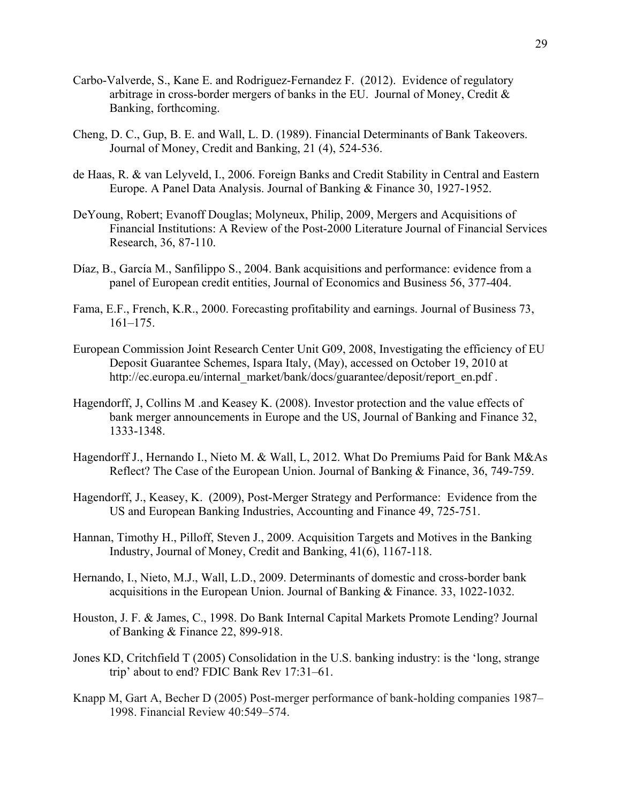- Carbo-Valverde, S., Kane E. and Rodriguez-Fernandez F. (2012). Evidence of regulatory arbitrage in cross-border mergers of banks in the EU. Journal of Money, Credit & Banking, forthcoming.
- Cheng, D. C., Gup, B. E. and Wall, L. D. (1989). Financial Determinants of Bank Takeovers. Journal of Money, Credit and Banking, 21 (4), 524-536.
- de Haas, R. & van Lelyveld, I., 2006. Foreign Banks and Credit Stability in Central and Eastern Europe. A Panel Data Analysis. Journal of Banking & Finance 30, 1927-1952.
- [DeYoung,](http://springerlink.metapress.com/content/?Author=Robert+DeYoung) Robert; [Evanoff](http://springerlink.metapress.com/content/?Author=Douglas+D.+Evanoff) Douglas; [Molyneux,](http://springerlink.metapress.com/content/?Author=Philip+Molyneux) Philip, 2009, Mergers and Acquisitions of Financial Institutions: A Review of the Post-2000 Literature [Journal of Financial Services](http://springerlink.metapress.com/content/0920-8550/)  [Research,](http://springerlink.metapress.com/content/0920-8550/) [36, 8](http://springerlink.metapress.com/content/0920-8550/36/2-3/)7-110.
- Díaz, B., García M., Sanfilippo S., 2004. Bank acquisitions and performance: evidence from a panel of European credit entities, Journal of Economics and Business 56, 377-404.
- Fama, E.F., French, K.R., 2000. Forecasting profitability and earnings. Journal of Business 73, 161–175.
- European Commission Joint Research Center Unit G09, 2008, Investigating the efficiency of EU Deposit Guarantee Schemes, Ispara Italy, (May), accessed on October 19, 2010 at http://ec.europa.eu/internal\_market/bank/docs/guarantee/deposit/report\_en.pdf .
- Hagendorff, J, Collins M .and Keasey K. (2008). Investor protection and the value effects of bank merger announcements in Europe and the US, Journal of Banking and Finance 32, 1333-1348.
- Hagendorff J., Hernando I., Nieto M. & Wall, L, 2012. What Do Premiums Paid for Bank M&As Reflect? The Case of the European Union. Journal of Banking & Finance, 36, 749-759.
- Hagendorff, J., Keasey, K. (2009), Post-Merger Strategy and Performance: Evidence from the US and European Banking Industries, Accounting and Finance 49, 725-751.
- Hannan, Timothy H., Pilloff, Steven J., 2009. Acquisition Targets and Motives in the Banking Industry, Journal of Money, Credit and Banking, 41(6), 1167-118.
- Hernando, I., Nieto, M.J., Wall, L.D., 2009. Determinants of domestic and cross-border bank acquisitions in the European Union. Journal of Banking & Finance. 33, 1022-1032.
- Houston, J. F. & James, C., 1998. Do Bank Internal Capital Markets Promote Lending? Journal of Banking & Finance 22, 899-918.
- Jones KD, Critchfield T (2005) Consolidation in the U.S. banking industry: is the 'long, strange trip' about to end? FDIC Bank Rev 17:31–61.
- Knapp M, Gart A, Becher D (2005) Post-merger performance of bank-holding companies 1987– 1998. Financial Review 40:549–574.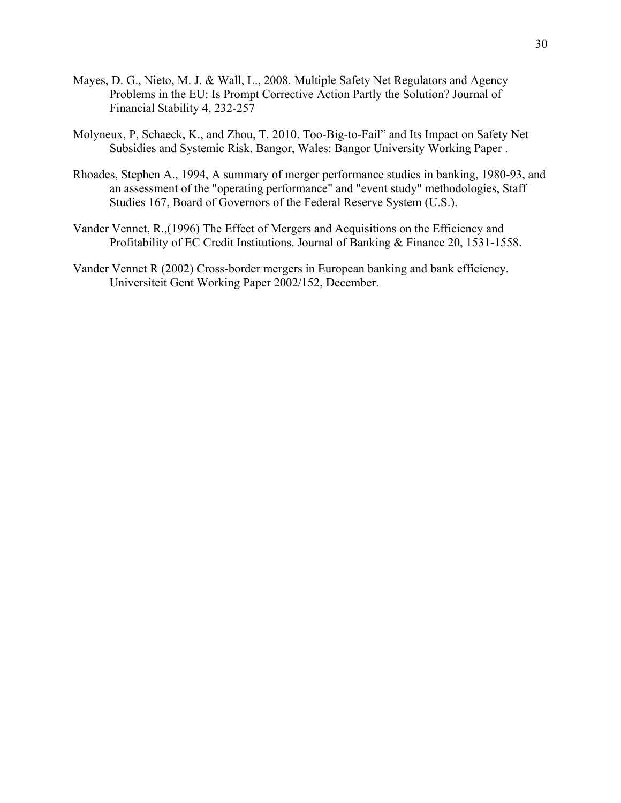- Mayes, D. G., Nieto, M. J. & Wall, L., 2008. Multiple Safety Net Regulators and Agency Problems in the EU: Is Prompt Corrective Action Partly the Solution? Journal of Financial Stability 4, 232-257
- Molyneux, P, Schaeck, K., and Zhou, T. 2010. Too-Big-to-Fail" and Its Impact on Safety Net Subsidies and Systemic Risk. Bangor, Wales: Bangor University Working Paper .
- Rhoades, Stephen A., 1994, A summary of merger performance studies in banking, 1980-93, and an assessment of the "operating performance" and "event study" methodologies, Staff Studies 167, Board of Governors of the Federal Reserve System (U.S.).
- Vander Vennet, R.,(1996) The Effect of Mergers and Acquisitions on the Efficiency and Profitability of EC Credit Institutions. Journal of Banking & Finance 20, 1531-1558.
- Vander Vennet R (2002) Cross-border mergers in European banking and bank efficiency. Universiteit Gent Working Paper 2002/152, December.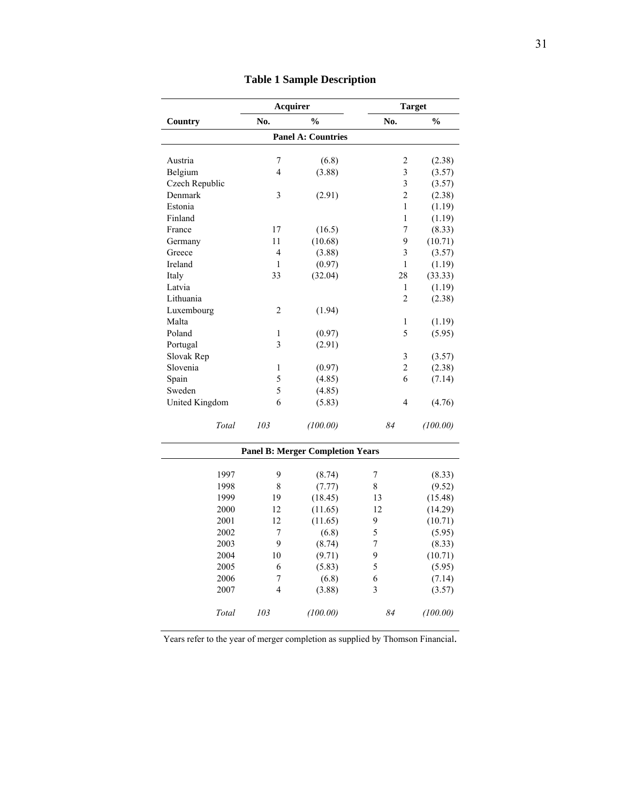|                | Acquirer                 |                                         | <b>Target</b>           |               |  |
|----------------|--------------------------|-----------------------------------------|-------------------------|---------------|--|
| Country        | No.                      | $\frac{0}{0}$                           | No.                     | $\frac{0}{0}$ |  |
|                |                          | <b>Panel A: Countries</b>               |                         |               |  |
| Austria        | 7                        | (6.8)                                   | 2                       | (2.38)        |  |
| Belgium        | $\overline{\mathbf{4}}$  | (3.88)                                  | $\overline{\mathbf{3}}$ | (3.57)        |  |
| Czech Republic |                          |                                         | 3                       | (3.57)        |  |
| Denmark        | $\overline{3}$           | (2.91)                                  | $\overline{c}$          | (2.38)        |  |
| Estonia        |                          |                                         | $\mathbf{1}$            | (1.19)        |  |
| Finland        |                          |                                         | 1                       | (1.19)        |  |
| France         | 17                       | (16.5)                                  | 7                       | (8.33)        |  |
| Germany        | 11                       | (10.68)                                 | 9                       | (10.71)       |  |
| Greece         | $\overline{4}$           | (3.88)                                  | $\overline{\mathbf{3}}$ | (3.57)        |  |
| Ireland        | $\mathbf{1}$             | (0.97)                                  | 1                       | (1.19)        |  |
| Italy          | 33                       | (32.04)                                 | 28                      | (33.33)       |  |
| Latvia         |                          |                                         | 1                       | (1.19)        |  |
| Lithuania      |                          |                                         | $\overline{c}$          | (2.38)        |  |
| Luxembourg     | $\overline{2}$           | (1.94)                                  |                         |               |  |
| Malta          |                          |                                         | $\mathbf{1}$            | (1.19)        |  |
| Poland         | $\mathbf{1}$             | (0.97)                                  | 5                       | (5.95)        |  |
| Portugal       | 3                        | (2.91)                                  |                         |               |  |
| Slovak Rep     |                          |                                         | $\mathfrak{Z}$          | (3.57)        |  |
| Slovenia       | $\mathbf{1}$             | (0.97)                                  | $\overline{2}$          | (2.38)        |  |
| Spain          | 5                        | (4.85)                                  | 6                       | (7.14)        |  |
| Sweden         | 5                        | (4.85)                                  |                         |               |  |
| United Kingdom | 6                        | (5.83)                                  | 4                       | (4.76)        |  |
|                |                          |                                         |                         |               |  |
| Total          | 103                      | (100.00)                                | 84                      | (100.00)      |  |
|                |                          | <b>Panel B: Merger Completion Years</b> |                         |               |  |
| 1997           | 9                        | (8.74)                                  | 7                       | (8.33)        |  |
| 1998           | 8                        | (7.77)                                  | 8                       | (9.52)        |  |
| 1999           | 19                       | (18.45)                                 | 13                      | (15.48)       |  |
| 2000           | 12                       | (11.65)                                 | 12                      | (14.29)       |  |
| 2001           | 12                       | (11.65)                                 | 9                       | (10.71)       |  |
| 2002           | 7                        | (6.8)                                   | 5                       | (5.95)        |  |
| 2003           | 9                        | (8.74)                                  | 7                       | (8.33)        |  |
| 2004           | 10                       | (9.71)                                  | 9                       | (10.71)       |  |
| 2005           | 6                        | (5.83)                                  | 5                       | (5.95)        |  |
| 2006           | 7                        | (6.8)                                   | 6                       | (7.14)        |  |
| 2007           | $\overline{\mathcal{L}}$ | (3.88)                                  | 3                       | (3.57)        |  |
|                |                          |                                         |                         |               |  |
| Total          | 103                      | (100.00)                                | 84                      | (100.00)      |  |

# **Table 1 Sample Description**

Years refer to the year of merger completion as supplied by Thomson Financial.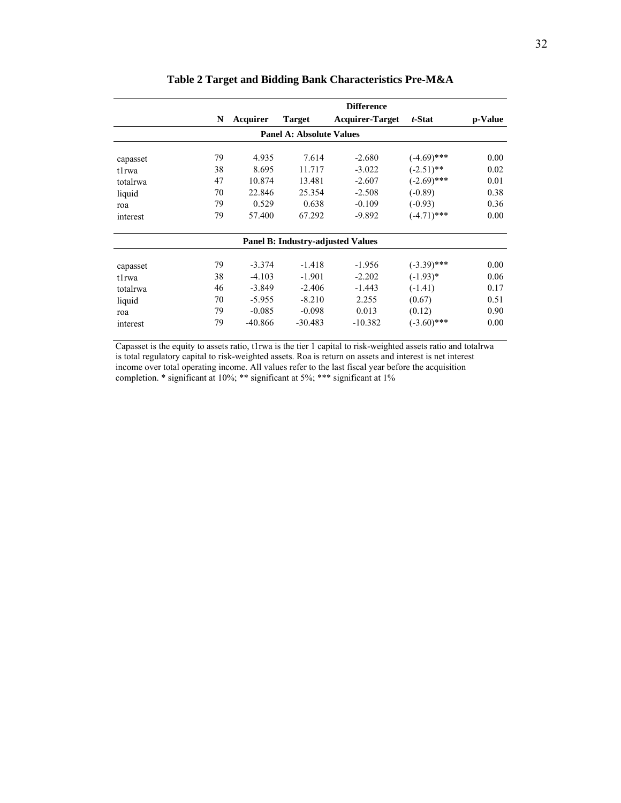|          |    |           |                                          | <b>Difference</b>      |               |         |
|----------|----|-----------|------------------------------------------|------------------------|---------------|---------|
|          | N  | Acquirer  | <b>Target</b>                            | <b>Acquirer-Target</b> | t-Stat        | p-Value |
|          |    |           | <b>Panel A: Absolute Values</b>          |                        |               |         |
| capasset | 79 | 4.935     | 7.614                                    | $-2.680$               | $(-4.69)$ *** | 0.00    |
| tlrwa    | 38 | 8.695     | 11.717                                   | $-3.022$               | $(-2.51)$ **  | 0.02    |
| totalrwa | 47 | 10.874    | 13.481                                   | $-2.607$               | $(-2.69)$ *** | 0.01    |
| liquid   | 70 | 22.846    | 25.354                                   | $-2.508$               | $(-0.89)$     | 0.38    |
| roa      | 79 | 0.529     | 0.638                                    | $-0.109$               | $(-0.93)$     | 0.36    |
| interest | 79 | 57.400    | 67.292                                   | $-9.892$               | $(-4.71)$ *** | 0.00    |
|          |    |           | <b>Panel B: Industry-adjusted Values</b> |                        |               |         |
| capasset | 79 | $-3.374$  | $-1.418$                                 | $-1.956$               | $(-3.39)$ *** | 0.00    |
| tlrwa    | 38 | $-4.103$  | $-1.901$                                 | $-2.202$               | $(-1.93)$ *   | 0.06    |
| totalrwa | 46 | $-3.849$  | $-2.406$                                 | $-1.443$               | $(-1.41)$     | 0.17    |
| liquid   | 70 | $-5.955$  | $-8.210$                                 | 2.255                  | (0.67)        | 0.51    |
| roa      | 79 | $-0.085$  | $-0.098$                                 | 0.013                  | (0.12)        | 0.90    |
| interest | 79 | $-40.866$ | $-30.483$                                | $-10.382$              | $(-3.60)$ *** | 0.00    |

# **Table 2 Target and Bidding Bank Characteristics Pre-M&A**

Capasset is the equity to assets ratio, t1rwa is the tier 1 capital to risk-weighted assets ratio and totalrwa is total regulatory capital to risk-weighted assets. Roa is return on assets and interest is net interest income over total operating income. All values refer to the last fiscal year before the acquisition completion. \* significant at 10%; \*\* significant at 5%; \*\*\* significant at 1%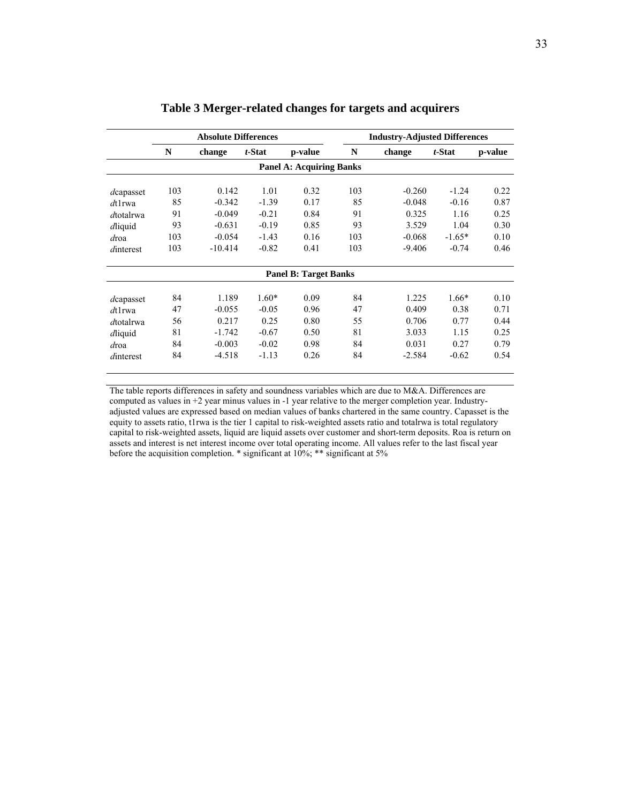|           | <b>Absolute Differences</b> |           |         | <b>Industry-Adjusted Differences</b> |     |          |          |         |
|-----------|-----------------------------|-----------|---------|--------------------------------------|-----|----------|----------|---------|
|           | N                           | change    | t-Stat  | p-value                              | N   | change   | t-Stat   | p-value |
|           |                             |           |         | <b>Panel A: Acquiring Banks</b>      |     |          |          |         |
| dcapasset | 103                         | 0.142     | 1.01    | 0.32                                 | 103 | $-0.260$ | $-1.24$  | 0.22    |
| $dt1$ rwa | 85                          | $-0.342$  | $-1.39$ | 0.17                                 | 85  | $-0.048$ | $-0.16$  | 0.87    |
| dtotalrwa | 91                          | $-0.049$  | $-0.21$ | 0.84                                 | 91  | 0.325    | 1.16     | 0.25    |
| dliquid   | 93                          | $-0.631$  | $-0.19$ | 0.85                                 | 93  | 3.529    | 1.04     | 0.30    |
| droa      | 103                         | $-0.054$  | $-1.43$ | 0.16                                 | 103 | $-0.068$ | $-1.65*$ | 0.10    |
| dinterest | 103                         | $-10.414$ | $-0.82$ | 0.41                                 | 103 | $-9.406$ | $-0.74$  | 0.46    |
|           |                             |           |         | <b>Panel B: Target Banks</b>         |     |          |          |         |
| dcapasset | 84                          | 1.189     | $1.60*$ | 0.09                                 | 84  | 1.225    | $1.66*$  | 0.10    |
| $dt1$ rwa | 47                          | $-0.055$  | $-0.05$ | 0.96                                 | 47  | 0.409    | 0.38     | 0.71    |
| dtotalrwa | 56                          | 0.217     | 0.25    | 0.80                                 | 55  | 0.706    | 0.77     | 0.44    |
| dliquid   | 81                          | $-1.742$  | $-0.67$ | 0.50                                 | 81  | 3.033    | 1.15     | 0.25    |
| droa      | 84                          | $-0.003$  | $-0.02$ | 0.98                                 | 84  | 0.031    | 0.27     | 0.79    |
| dinterest | 84                          | $-4.518$  | $-1.13$ | 0.26                                 | 84  | $-2.584$ | $-0.62$  | 0.54    |

# **Table 3 Merger-related changes for targets and acquirers**

The table reports differences in safety and soundness variables which are due to M&A. Differences are computed as values in +2 year minus values in -1 year relative to the merger completion year. Industryadjusted values are expressed based on median values of banks chartered in the same country. Capasset is the equity to assets ratio, t1rwa is the tier 1 capital to risk-weighted assets ratio and totalrwa is total regulatory capital to risk-weighted assets, liquid are liquid assets over customer and short-term deposits. Roa is return on assets and interest is net interest income over total operating income. All values refer to the last fiscal year before the acquisition completion.  $*$  significant at 10%;  $**$  significant at 5%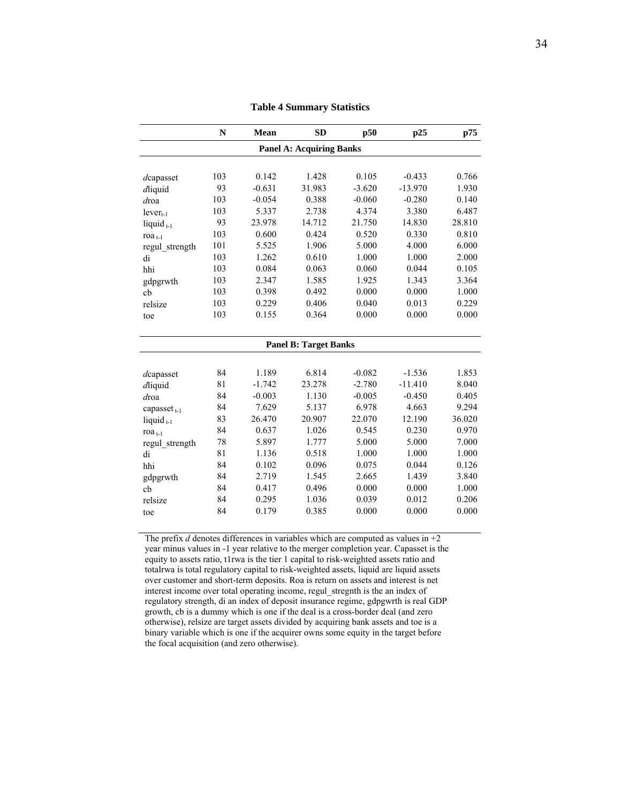|                                      | $\mathbf N$ | Mean     | <b>SD</b>                       | p50      | p25       | p75    |
|--------------------------------------|-------------|----------|---------------------------------|----------|-----------|--------|
|                                      |             |          | <b>Panel A: Acquiring Banks</b> |          |           |        |
|                                      |             |          |                                 |          |           |        |
| dcapasset                            | 103         | 0.142    | 1.428                           | 0.105    | $-0.433$  | 0.766  |
| dliquid                              | 93          | $-0.631$ | 31.983                          | $-3.620$ | $-13.970$ | 1.930  |
| droa                                 | 103         | $-0.054$ | 0.388                           | $-0.060$ | $-0.280$  | 0.140  |
| $lever_{t-1}$                        | 103         | 5.337    | 2.738                           | 4.374    | 3.380     | 6.487  |
| liquid $_{t-1}$                      | 93          | 23.978   | 14.712                          | 21.750   | 14.830    | 28.810 |
| ro $a_{t-1}$                         | 103         | 0.600    | 0.424                           | 0.520    | 0.330     | 0.810  |
| regul_strength                       | 101         | 5.525    | 1.906                           | 5.000    | 4.000     | 6.000  |
| di                                   | 103         | 1.262    | 0.610                           | 1.000    | 1.000     | 2.000  |
| hhi                                  | 103         | 0.084    | 0.063                           | 0.060    | 0.044     | 0.105  |
| gdpgrwth                             | 103         | 2.347    | 1.585                           | 1.925    | 1.343     | 3.364  |
| cb                                   | 103         | 0.398    | 0.492                           | 0.000    | 0.000     | 1.000  |
| relsize                              | 103         | 0.229    | 0.406                           | 0.040    | 0.013     | 0.229  |
| toe                                  | 103         | 0.155    | 0.364                           | 0.000    | 0.000     | 0.000  |
|                                      |             |          |                                 |          |           |        |
|                                      |             |          | <b>Panel B: Target Banks</b>    |          |           |        |
|                                      |             |          |                                 |          |           |        |
| dcapasset                            | 84          | 1.189    | 6.814                           | $-0.082$ | $-1.536$  | 1.853  |
| dliquid                              | 81          | $-1.742$ | 23.278                          | $-2.780$ | $-11.410$ | 8.040  |
| $d$ roa                              | 84          | $-0.003$ | 1.130                           | $-0.005$ | $-0.450$  | 0.405  |
| capasset <sub><math>t-1</math></sub> | 84          | 7.629    | 5.137                           | 6.978    | 4.663     | 9.294  |
| liquid $_{t-1}$                      | 83          | 26.470   | 20.907                          | 22.070   | 12.190    | 36.020 |
| ro $a_{t-1}$                         | 84          | 0.637    | 1.026                           | 0.545    | 0.230     | 0.970  |
| regul strength                       | 78          | 5.897    | 1.777                           | 5.000    | 5.000     | 7.000  |
| di                                   | 81          | 1.136    | 0.518                           | 1.000    | 1.000     | 1.000  |
| hhi                                  | 84          | 0.102    | 0.096                           | 0.075    | 0.044     | 0.126  |
| gdpgrwth                             | 84          | 2.719    | 1.545                           | 2.665    | 1.439     | 3.840  |
| ch                                   | 84          | 0.417    | 0.496                           | 0.000    | 0.000     | 1.000  |
| relsize                              | 84          | 0.295    | 1.036                           | 0.039    | 0.012     | 0.206  |
| toe                                  | 84          | 0.179    | 0.385                           | 0.000    | 0.000     | 0.000  |
|                                      |             |          |                                 |          |           |        |

**Table 4 Summary Statistics**

The prefix *d* denotes differences in variables which are computed as values in  $+2$ year minus values in -1 year relative to the merger completion year. Capasset is the equity to assets ratio, t1rwa is the tier 1 capital to risk-weighted assets ratio and totalrwa is total regulatory capital to risk-weighted assets, liquid are liquid assets over customer and short-term deposits. Roa is return on assets and interest is net interest income over total operating income, regul\_stregnth is the an index of regulatory strength, di an index of deposit insurance regime, gdpgwrth is real GDP growth, cb is a dummy which is one if the deal is a cross-border deal (and zero otherwise), relsize are target assets divided by acquiring bank assets and toe is a binary variable which is one if the acquirer owns some equity in the target before the focal acquisition (and zero otherwise).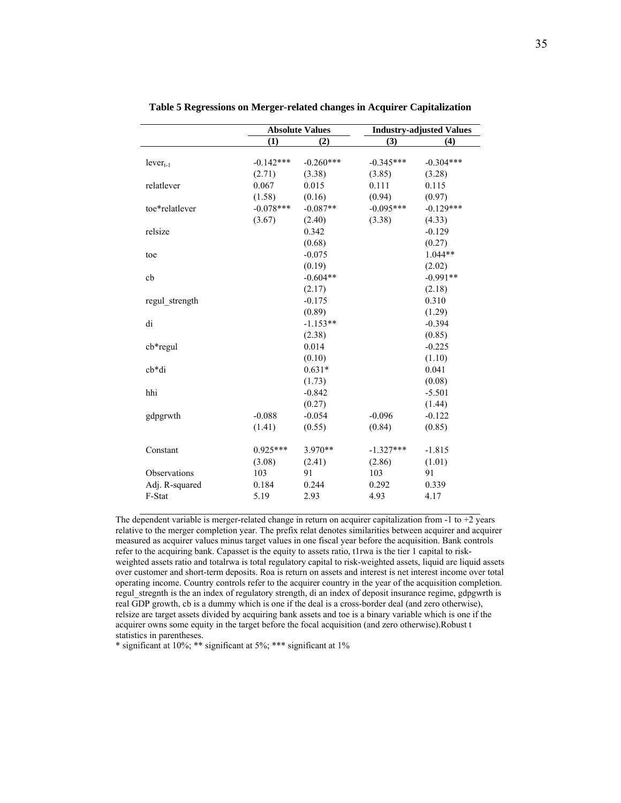|                |             | <b>Absolute Values</b> |             | <b>Industry-adjusted Values</b> |
|----------------|-------------|------------------------|-------------|---------------------------------|
|                | (1)         | (2)                    | (3)         | (4)                             |
|                |             |                        |             |                                 |
| $lever_{t-1}$  | $-0.142***$ | $-0.260***$            | $-0.345***$ | $-0.304***$                     |
|                | (2.71)      | (3.38)                 | (3.85)      | (3.28)                          |
| relatlever     | 0.067       | 0.015                  | 0.111       | 0.115                           |
|                | (1.58)      | (0.16)                 | (0.94)      | (0.97)                          |
| toe*relatlever | $-0.078***$ | $-0.087**$             | $-0.095***$ | $-0.129***$                     |
|                | (3.67)      | (2.40)                 | (3.38)      | (4.33)                          |
| relsize        |             | 0.342                  |             | $-0.129$                        |
|                |             | (0.68)                 |             | (0.27)                          |
| toe            |             | $-0.075$               |             | $1.044**$                       |
|                |             | (0.19)                 |             | (2.02)                          |
| cb             |             | $-0.604**$             |             | $-0.991**$                      |
|                |             | (2.17)                 |             | (2.18)                          |
| regul strength |             | $-0.175$               |             | 0.310                           |
|                |             | (0.89)                 |             | (1.29)                          |
| di             |             | $-1.153**$             |             | $-0.394$                        |
|                |             | (2.38)                 |             | (0.85)                          |
| cb*regul       |             | 0.014                  |             | $-0.225$                        |
|                |             | (0.10)                 |             | (1.10)                          |
| $cb*di$        |             | $0.631*$               |             | 0.041                           |
|                |             | (1.73)                 |             | (0.08)                          |
| hhi            |             | $-0.842$               |             | $-5.501$                        |
|                |             | (0.27)                 |             | (1.44)                          |
| gdpgrwth       | $-0.088$    | $-0.054$               | $-0.096$    | $-0.122$                        |
|                | (1.41)      | (0.55)                 | (0.84)      | (0.85)                          |
| Constant       | $0.925***$  | $3.970**$              | $-1.327***$ | $-1.815$                        |
|                | (3.08)      | (2.41)                 | (2.86)      | (1.01)                          |
| Observations   | 103         | 91                     | 103         | 91                              |
| Adj. R-squared | 0.184       | 0.244                  | 0.292       | 0.339                           |
| F-Stat         | 5.19        | 2.93                   | 4.93        | 4.17                            |
|                |             |                        |             |                                 |

**Table 5 Regressions on Merger-related changes in Acquirer Capitalization** 

The dependent variable is merger-related change in return on acquirer capitalization from -1 to +2 years relative to the merger completion year. The prefix relat denotes similarities between acquirer and acquirer measured as acquirer values minus target values in one fiscal year before the acquisition. Bank controls refer to the acquiring bank. Capasset is the equity to assets ratio, t1rwa is the tier 1 capital to riskweighted assets ratio and totalrwa is total regulatory capital to risk-weighted assets, liquid are liquid assets over customer and short-term deposits. Roa is return on assets and interest is net interest income over total operating income. Country controls refer to the acquirer country in the year of the acquisition completion. regul stregnth is the an index of regulatory strength, di an index of deposit insurance regime, gdpgwrth is real GDP growth, cb is a dummy which is one if the deal is a cross-border deal (and zero otherwise), relsize are target assets divided by acquiring bank assets and toe is a binary variable which is one if the acquirer owns some equity in the target before the focal acquisition (and zero otherwise).Robust t statistics in parentheses.

\* significant at 10%; \*\* significant at 5%; \*\*\* significant at 1%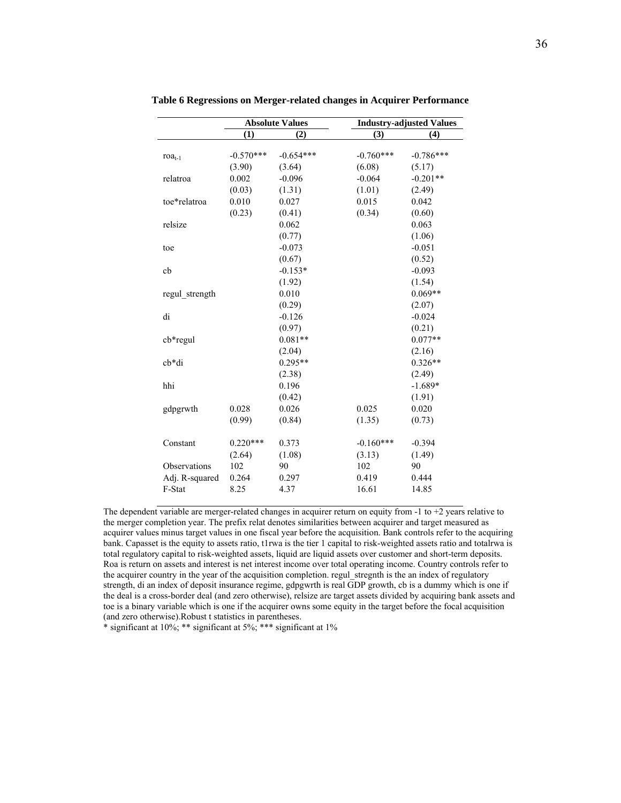|                | <b>Absolute Values</b> |             |             | <b>Industry-adjusted Values</b> |
|----------------|------------------------|-------------|-------------|---------------------------------|
|                | (1)                    | (2)         | (3)         | (4)                             |
|                |                        |             |             |                                 |
| $roa_{t-1}$    | $-0.570***$            | $-0.654***$ | $-0.760***$ | $-0.786***$                     |
|                | (3.90)                 | (3.64)      | (6.08)      | (5.17)                          |
| relatroa       | 0.002                  | $-0.096$    | $-0.064$    | $-0.201**$                      |
|                | (0.03)                 | (1.31)      | (1.01)      | (2.49)                          |
| toe*relatroa   | 0.010                  | 0.027       | 0.015       | 0.042                           |
|                | (0.23)                 | (0.41)      | (0.34)      | (0.60)                          |
| relsize        |                        | 0.062       |             | 0.063                           |
|                |                        | (0.77)      |             | (1.06)                          |
| toe            |                        | $-0.073$    |             | $-0.051$                        |
|                |                        | (0.67)      |             | (0.52)                          |
| cb             |                        | $-0.153*$   |             | $-0.093$                        |
|                |                        | (1.92)      |             | (1.54)                          |
| regul strength |                        | 0.010       |             | $0.069**$                       |
|                |                        | (0.29)      |             | (2.07)                          |
| di             |                        | $-0.126$    |             | $-0.024$                        |
|                |                        | (0.97)      |             | (0.21)                          |
| $cb*regular$   |                        | $0.081**$   |             | $0.077**$                       |
|                |                        | (2.04)      |             | (2.16)                          |
| $cb*di$        |                        | $0.295**$   |             | $0.326**$                       |
|                |                        | (2.38)      |             | (2.49)                          |
| hhi            |                        | 0.196       |             | $-1.689*$                       |
|                |                        | (0.42)      |             | (1.91)                          |
| gdpgrwth       | 0.028                  | 0.026       | 0.025       | 0.020                           |
|                | (0.99)                 | (0.84)      | (1.35)      | (0.73)                          |
|                |                        |             |             |                                 |
| Constant       | $0.220***$             | 0.373       | $-0.160***$ | $-0.394$                        |
|                | (2.64)                 | (1.08)      | (3.13)      | (1.49)                          |
| Observations   | 102                    | 90          | 102         | 90                              |
| Adj. R-squared | 0.264                  | 0.297       | 0.419       | 0.444                           |
| F-Stat         | 8.25                   | 4.37        | 16.61       | 14.85                           |
|                |                        |             |             |                                 |

**Table 6 Regressions on Merger-related changes in Acquirer Performance** 

The dependent variable are merger-related changes in acquirer return on equity from  $-1$  to  $+2$  years relative to the merger completion year. The prefix relat denotes similarities between acquirer and target measured as acquirer values minus target values in one fiscal year before the acquisition. Bank controls refer to the acquiring bank. Capasset is the equity to assets ratio, t1rwa is the tier 1 capital to risk-weighted assets ratio and totalrwa is total regulatory capital to risk-weighted assets, liquid are liquid assets over customer and short-term deposits. Roa is return on assets and interest is net interest income over total operating income. Country controls refer to the acquirer country in the year of the acquisition completion. regul stregnth is the an index of regulatory strength, di an index of deposit insurance regime, gdpgwrth is real GDP growth, cb is a dummy which is one if the deal is a cross-border deal (and zero otherwise), relsize are target assets divided by acquiring bank assets and toe is a binary variable which is one if the acquirer owns some equity in the target before the focal acquisition (and zero otherwise).Robust t statistics in parentheses.

\* significant at  $10\%$ ; \*\* significant at  $5\%$ ; \*\*\* significant at  $1\%$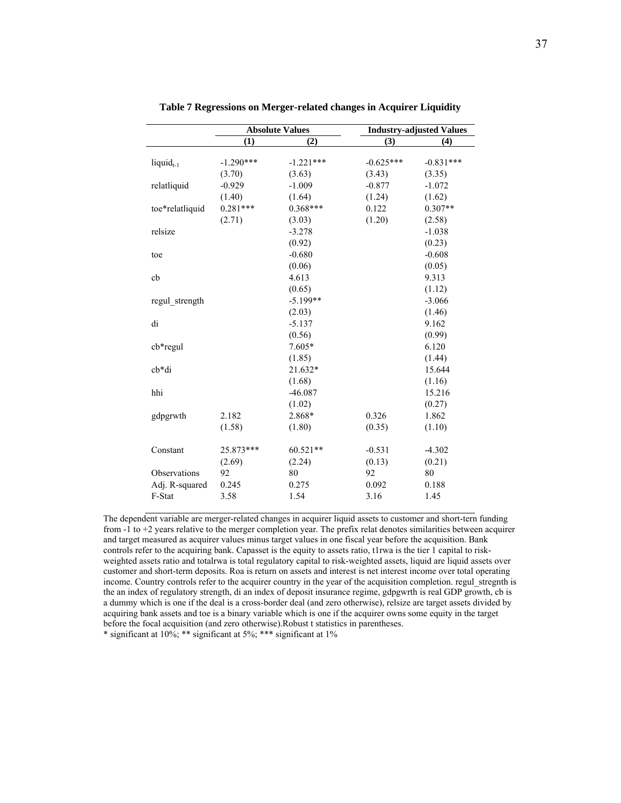|                       | <b>Absolute Values</b> |             | <b>Industry-adjusted Values</b> |             |  |  |
|-----------------------|------------------------|-------------|---------------------------------|-------------|--|--|
|                       | (1)                    | (2)         | (3)                             | (4)         |  |  |
|                       |                        |             |                                 |             |  |  |
| liquid <sub>t-1</sub> | $-1.290***$            | $-1.221***$ | $-0.625***$                     | $-0.831***$ |  |  |
|                       | (3.70)                 | (3.63)      | (3.43)                          | (3.35)      |  |  |
| relatliquid           | $-0.929$               | $-1.009$    | $-0.877$                        | $-1.072$    |  |  |
|                       | (1.40)                 | (1.64)      | (1.24)                          | (1.62)      |  |  |
| toe*relatliquid       | $0.281***$             | $0.368***$  | 0.122                           | $0.307**$   |  |  |
|                       | (2.71)                 | (3.03)      | (1.20)                          | (2.58)      |  |  |
| relsize               |                        | $-3.278$    |                                 | $-1.038$    |  |  |
|                       |                        | (0.92)      |                                 | (0.23)      |  |  |
| toe                   |                        | $-0.680$    |                                 | $-0.608$    |  |  |
|                       |                        | (0.06)      |                                 | (0.05)      |  |  |
| cb                    |                        | 4.613       |                                 | 9.313       |  |  |
|                       |                        | (0.65)      |                                 | (1.12)      |  |  |
| regul strength        |                        | $-5.199**$  |                                 | $-3.066$    |  |  |
|                       |                        | (2.03)      |                                 | (1.46)      |  |  |
| di                    |                        | $-5.137$    |                                 | 9.162       |  |  |
|                       |                        | (0.56)      |                                 | (0.99)      |  |  |
| $cb*regular$          |                        | 7.605*      |                                 | 6.120       |  |  |
|                       |                        | (1.85)      |                                 | (1.44)      |  |  |
| cb*di                 |                        | 21.632*     |                                 | 15.644      |  |  |
|                       |                        | (1.68)      |                                 | (1.16)      |  |  |
| hhi                   |                        | $-46.087$   |                                 | 15.216      |  |  |
|                       |                        | (1.02)      |                                 | (0.27)      |  |  |
| gdpgrwth              | 2.182                  | 2.868*      | 0.326                           | 1.862       |  |  |
|                       | (1.58)                 | (1.80)      | (0.35)                          | (1.10)      |  |  |
|                       |                        |             |                                 |             |  |  |
| Constant              | 25.873***              | $60.521**$  | $-0.531$                        | $-4.302$    |  |  |
|                       | (2.69)                 | (2.24)      | (0.13)                          | (0.21)      |  |  |
| Observations          | 92                     | 80          | 92                              | 80          |  |  |
| Adj. R-squared        | 0.245                  | 0.275       | 0.092                           | 0.188       |  |  |
| F-Stat                | 3.58                   | 1.54        | 3.16                            | 1.45        |  |  |
|                       |                        |             |                                 |             |  |  |

**Table 7 Regressions on Merger-related changes in Acquirer Liquidity** 

The dependent variable are merger-related changes in acquirer liquid assets to customer and short-tern funding from -1 to +2 years relative to the merger completion year. The prefix relat denotes similarities between acquirer and target measured as acquirer values minus target values in one fiscal year before the acquisition. Bank controls refer to the acquiring bank. Capasset is the equity to assets ratio, t1rwa is the tier 1 capital to riskweighted assets ratio and totalrwa is total regulatory capital to risk-weighted assets, liquid are liquid assets over customer and short-term deposits. Roa is return on assets and interest is net interest income over total operating income. Country controls refer to the acquirer country in the year of the acquisition completion. regul\_stregnth is the an index of regulatory strength, di an index of deposit insurance regime, gdpgwrth is real GDP growth, cb is a dummy which is one if the deal is a cross-border deal (and zero otherwise), relsize are target assets divided by acquiring bank assets and toe is a binary variable which is one if the acquirer owns some equity in the target before the focal acquisition (and zero otherwise).Robust t statistics in parentheses.

\* significant at 10%; \*\* significant at 5%; \*\*\* significant at 1%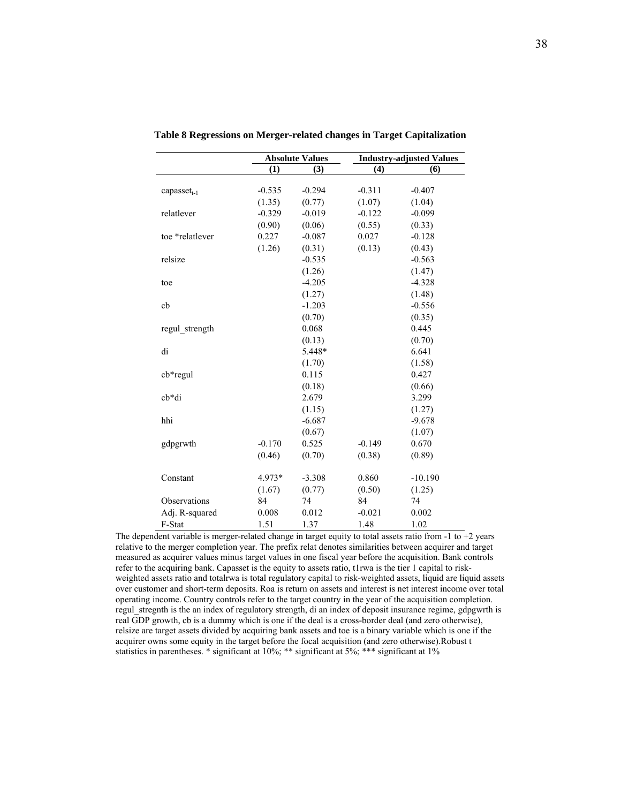|                   |          | <b>Absolute Values</b> | <b>Industry-adjusted Values</b> |           |  |
|-------------------|----------|------------------------|---------------------------------|-----------|--|
|                   | (1)      | (3)                    | (4)                             | (6)       |  |
| capasset $_{t-1}$ | $-0.535$ | $-0.294$               | $-0.311$                        | $-0.407$  |  |
|                   | (1.35)   | (0.77)                 | (1.07)                          | (1.04)    |  |
| relatlever        | $-0.329$ | $-0.019$               | $-0.122$                        | $-0.099$  |  |
|                   | (0.90)   | (0.06)                 | (0.55)                          | (0.33)    |  |
| toe *relatlever   | 0.227    | $-0.087$               | 0.027                           | $-0.128$  |  |
|                   | (1.26)   | (0.31)                 | (0.13)                          | (0.43)    |  |
| relsize           |          | $-0.535$               |                                 | $-0.563$  |  |
|                   |          | (1.26)                 |                                 | (1.47)    |  |
| toe               |          | $-4.205$               |                                 | $-4.328$  |  |
|                   |          | (1.27)                 |                                 | (1.48)    |  |
| cb                |          | $-1.203$               |                                 | $-0.556$  |  |
|                   |          | (0.70)                 |                                 | (0.35)    |  |
| regul strength    |          | 0.068                  |                                 | 0.445     |  |
|                   |          | (0.13)                 |                                 | (0.70)    |  |
| di                |          | 5.448*                 |                                 | 6.641     |  |
|                   |          | (1.70)                 |                                 | (1.58)    |  |
| cb*regul          |          | 0.115                  |                                 | 0.427     |  |
|                   |          | (0.18)                 |                                 | (0.66)    |  |
| cb*di             |          | 2.679                  |                                 | 3.299     |  |
|                   |          | (1.15)                 |                                 | (1.27)    |  |
| hhi               |          | $-6.687$               |                                 | $-9.678$  |  |
|                   |          | (0.67)                 |                                 | (1.07)    |  |
| gdpgrwth          | $-0.170$ | 0.525                  | $-0.149$                        | 0.670     |  |
|                   | (0.46)   | (0.70)                 | (0.38)                          | (0.89)    |  |
| Constant          | 4.973*   | $-3.308$               | 0.860                           | $-10.190$ |  |
|                   | (1.67)   | (0.77)                 | (0.50)                          | (1.25)    |  |
| Observations      | 84       | 74                     | 84                              | 74        |  |
| Adj. R-squared    | 0.008    | 0.012                  | $-0.021$                        | 0.002     |  |
| F-Stat            | 1.51     | 1.37                   | 1.48                            | 1.02      |  |
|                   |          |                        |                                 |           |  |

**Table 8 Regressions on Merger-related changes in Target Capitalization** 

The dependent variable is merger-related change in target equity to total assets ratio from  $-1$  to  $+2$  years relative to the merger completion year. The prefix relat denotes similarities between acquirer and target measured as acquirer values minus target values in one fiscal year before the acquisition. Bank controls refer to the acquiring bank. Capasset is the equity to assets ratio, t1rwa is the tier 1 capital to riskweighted assets ratio and totalrwa is total regulatory capital to risk-weighted assets, liquid are liquid assets over customer and short-term deposits. Roa is return on assets and interest is net interest income over total operating income. Country controls refer to the target country in the year of the acquisition completion. regul stregnth is the an index of regulatory strength, di an index of deposit insurance regime, gdpgwrth is real GDP growth, cb is a dummy which is one if the deal is a cross-border deal (and zero otherwise), relsize are target assets divided by acquiring bank assets and toe is a binary variable which is one if the acquirer owns some equity in the target before the focal acquisition (and zero otherwise).Robust t statistics in parentheses. \* significant at 10%; \*\* significant at 5%; \*\*\* significant at 1%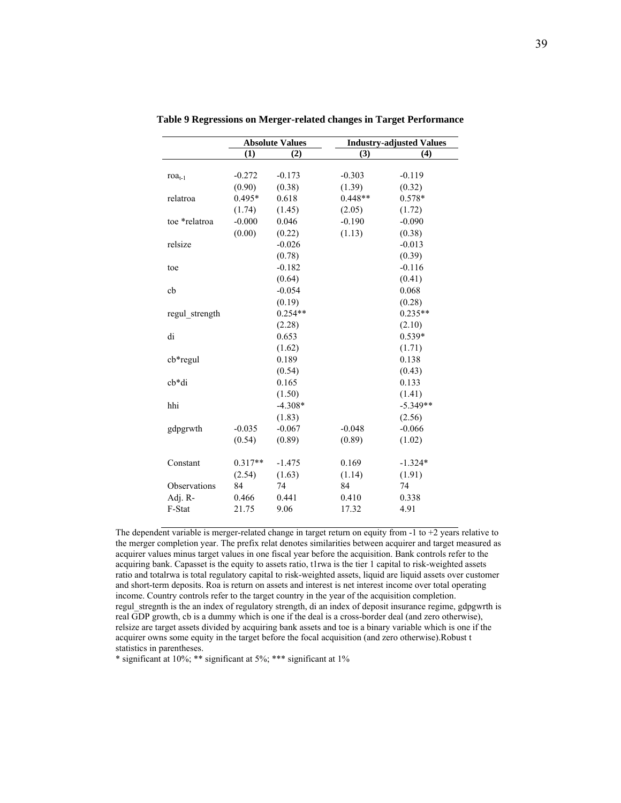|                |           | <b>Absolute Values</b> |           | <b>Industry-adjusted Values</b> |
|----------------|-----------|------------------------|-----------|---------------------------------|
|                | (1)       | (2)                    | (3)       | (4)                             |
|                |           |                        |           |                                 |
| $roa_{t-1}$    | $-0.272$  | $-0.173$               | $-0.303$  | $-0.119$                        |
|                | (0.90)    | (0.38)                 | (1.39)    | (0.32)                          |
| relatroa       | $0.495*$  | 0.618                  | $0.448**$ | 0.578*                          |
|                | (1.74)    | (1.45)                 | (2.05)    | (1.72)                          |
| toe *relatroa  | $-0.000$  | 0.046                  | $-0.190$  | $-0.090$                        |
|                | (0.00)    | (0.22)                 | (1.13)    | (0.38)                          |
| relsize        |           | $-0.026$               |           | $-0.013$                        |
|                |           | (0.78)                 |           | (0.39)                          |
| toe            |           | $-0.182$               |           | $-0.116$                        |
|                |           | (0.64)                 |           | (0.41)                          |
| cb             |           | $-0.054$               |           | 0.068                           |
|                |           | (0.19)                 |           | (0.28)                          |
| regul strength |           | $0.254**$              |           | $0.235**$                       |
|                |           | (2.28)                 |           | (2.10)                          |
| di             |           | 0.653                  |           | $0.539*$                        |
|                |           | (1.62)                 |           | (1.71)                          |
| $cb*regular$   |           | 0.189                  |           | 0.138                           |
|                |           | (0.54)                 |           | (0.43)                          |
| $cb*di$        |           | 0.165                  |           | 0.133                           |
|                |           | (1.50)                 |           | (1.41)                          |
| hhi            |           | $-4.308*$              |           | $-5.349**$                      |
|                |           | (1.83)                 |           | (2.56)                          |
| gdpgrwth       | $-0.035$  | $-0.067$               | $-0.048$  | $-0.066$                        |
|                | (0.54)    | (0.89)                 | (0.89)    | (1.02)                          |
| Constant       | $0.317**$ | $-1.475$               | 0.169     | $-1.324*$                       |
|                | (2.54)    | (1.63)                 | (1.14)    | (1.91)                          |
| Observations   | 84        | 74                     | 84        | 74                              |
| Adj. R-        | 0.466     | 0.441                  | 0.410     | 0.338                           |
| F-Stat         | 21.75     | 9.06                   | 17.32     | 4.91                            |
|                |           |                        |           |                                 |

**Table 9 Regressions on Merger-related changes in Target Performance** 

The dependent variable is merger-related change in target return on equity from -1 to +2 years relative to the merger completion year. The prefix relat denotes similarities between acquirer and target measured as acquirer values minus target values in one fiscal year before the acquisition. Bank controls refer to the acquiring bank. Capasset is the equity to assets ratio, t1rwa is the tier 1 capital to risk-weighted assets ratio and totalrwa is total regulatory capital to risk-weighted assets, liquid are liquid assets over customer and short-term deposits. Roa is return on assets and interest is net interest income over total operating income. Country controls refer to the target country in the year of the acquisition completion. regul stregnth is the an index of regulatory strength, di an index of deposit insurance regime, gdpgwrth is real GDP growth, cb is a dummy which is one if the deal is a cross-border deal (and zero otherwise), relsize are target assets divided by acquiring bank assets and toe is a binary variable which is one if the acquirer owns some equity in the target before the focal acquisition (and zero otherwise).Robust t statistics in parentheses.

\* significant at 10%; \*\* significant at 5%; \*\*\* significant at 1%